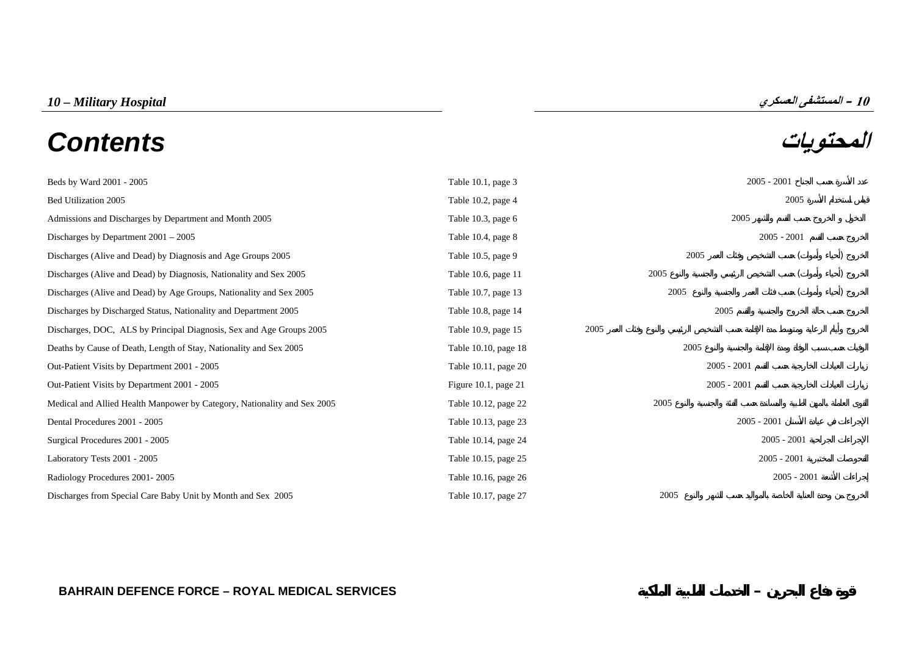# **المحتويات** *Contents*

| ∼             |  |
|---------------|--|
| $2005 - 2001$ |  |
| 2005          |  |
| 2005          |  |
| $2005 - 2001$ |  |

| Beds by Ward 2001 - 2005                                                 | Table 10.1, page 3     |               | $2005 - 2001$ |  |
|--------------------------------------------------------------------------|------------------------|---------------|---------------|--|
| Bed Utilization 2005                                                     | Table 10.2, page 4     |               | 2005          |  |
| Admissions and Discharges by Department and Month 2005                   | Table 10.3, page 6     | 2005          |               |  |
| Discharges by Department $2001 - 2005$                                   | Table 10.4, page 8     |               | $2005 - 2001$ |  |
| Discharges (Alive and Dead) by Diagnosis and Age Groups 2005             | Table 10.5, page 9     | 2005          |               |  |
| Discharges (Alive and Dead) by Diagnosis, Nationality and Sex 2005       | Table 10.6, page 11    | 2005          |               |  |
| Discharges (Alive and Dead) by Age Groups, Nationality and Sex 2005      | Table 10.7, page 13    | 2005          |               |  |
| Discharges by Discharged Status, Nationality and Department 2005         | Table 10.8, page 14    | 2005          |               |  |
| Discharges, DOC, ALS by Principal Diagnosis, Sex and Age Groups 2005     | Table 10.9, page 15    | 2005          |               |  |
| Deaths by Cause of Death, Length of Stay, Nationality and Sex 2005       | Table 10.10, page 18   | 2005          |               |  |
| Out-Patient Visits by Department 2001 - 2005                             | Table 10.11, page 20   | $2005 - 2001$ |               |  |
| Out-Patient Visits by Department 2001 - 2005                             | Figure 10.1, page $21$ | $2005 - 2001$ |               |  |
| Medical and Allied Health Manpower by Category, Nationality and Sex 2005 | Table 10.12, page 22   | 2005          |               |  |
| Dental Procedures 2001 - 2005                                            | Table 10.13, page 23   |               | $2005 - 2001$ |  |
| Surgical Procedures 2001 - 2005                                          | Table 10.14, page 24   |               | $2005 - 2001$ |  |
| Laboratory Tests 2001 - 2005                                             | Table 10.15, page 25   |               | $2005 - 2001$ |  |
| Radiology Procedures 2001-2005                                           | Table 10.16, page 26   |               | $2005 - 2001$ |  |
| Discharges from Special Care Baby Unit by Month and Sex 2005             | Table 10.17, page 27   | 2005          |               |  |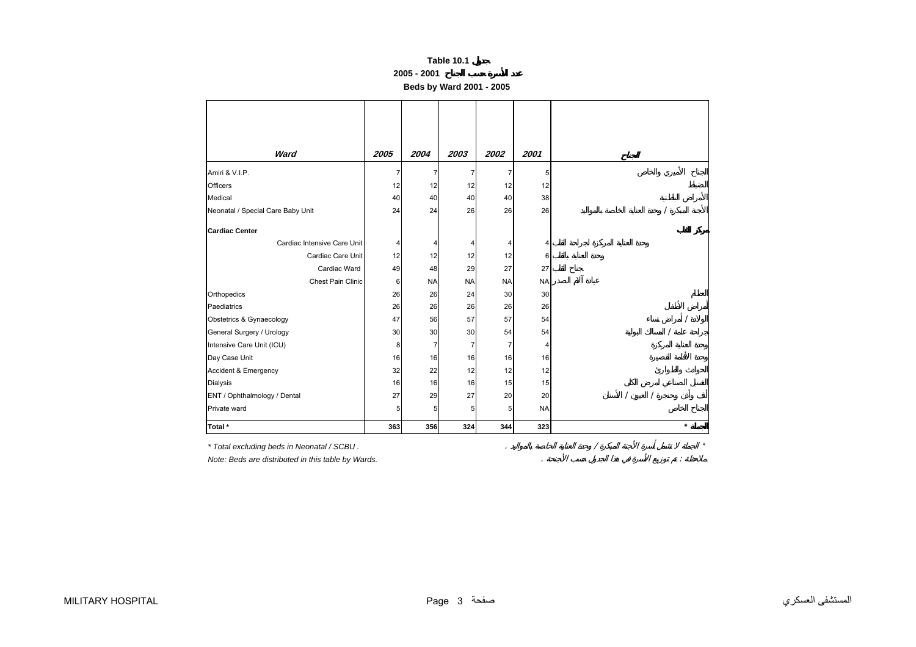#### **2005 - 2001**

**Beds by Ward 2001 - 2005** 

| Ward                              | 2005 | 2004           | 2003      | 2002      | 2001      |         |
|-----------------------------------|------|----------------|-----------|-----------|-----------|---------|
| Amiri & V.I.P.                    |      | $\overline{7}$ | 7         | 7         | 5         |         |
| Officers                          | 12   | 12             | 12        | 12        | 12        |         |
| Medical                           | 40   | 40             | 40        | 40        | 38        |         |
| Neonatal / Special Care Baby Unit | 24   | 24             | 26        | 26        | 26        |         |
| <b>Cardiac Center</b>             |      |                |           |           |           |         |
| Cardiac Intensive Care Unit       | Δ    | 4              |           |           |           |         |
| Cardiac Care Unit                 | 12   | 12             | 12        | 12        | 6         |         |
| Cardiac Ward                      | 49   | 48             | 29        | 27        | 27        |         |
| Chest Pain Clinic                 | 6    | <b>NA</b>      | <b>NA</b> | <b>NA</b> | <b>NA</b> |         |
| Orthopedics                       | 26   | 26             | 24        | 30        | 30        |         |
| Paediatrics                       | 26   | 26             | 26        | 26        | 26        |         |
| Obstetrics & Gynaecology          | 47   | 56             | 57        | 57        | 54        |         |
| General Surgery / Urology         | 30   | 30             | 30        | 54        | 54        |         |
| Intensive Care Unit (ICU)         | 8    | $\overline{7}$ | 7         | 7         |           |         |
| Day Case Unit                     | 16   | 16             | 16        | 16        | 16        |         |
| Accident & Emergency              | 32   | 22             | 12        | 12        | 12        |         |
| Dialysis                          | 16   | 16             | 16        | 15        | 15        |         |
| ENT / Ophthalmology / Dental      | 27   | 29             | 27        | 20        | 20        |         |
| Private ward                      | 5    | 5 <sub>l</sub> | 5         | 5         | <b>NA</b> |         |
| Total *                           | 363  | 356            | 324       | 344       | 323       | $\star$ |

*\* Total excluding beds in Neonatal / SCBU .* . / \*

*Note: Beds are distributed in this table by Wards.* . :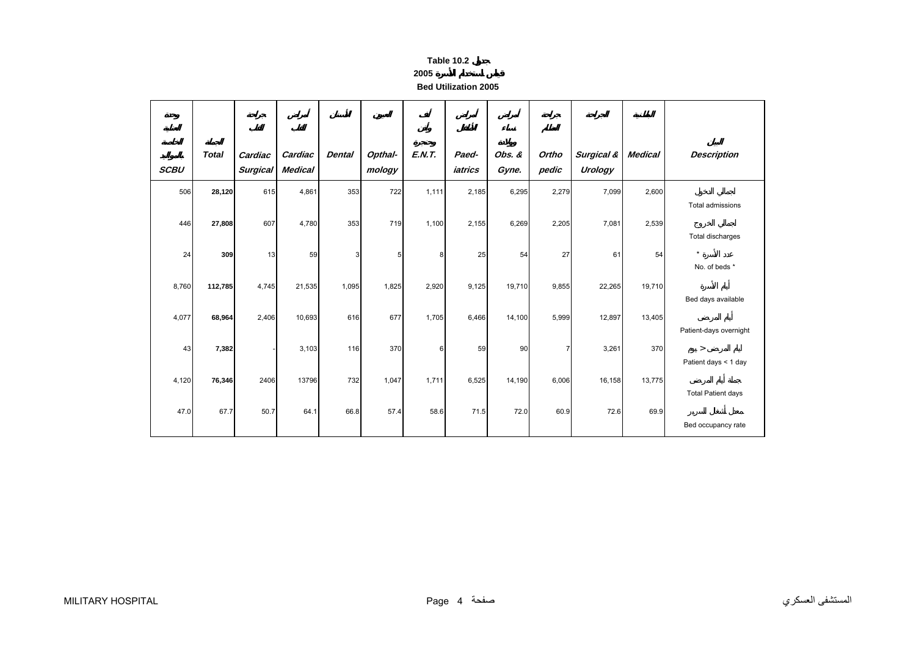#### **2005**

**Bed Utilization 2005**

<span id="page-2-0"></span>

| <b>SCBU</b> | <b>Total</b> | Cardiac<br><b>Surgical</b> | Cardiac<br><b>Medical</b> | <b>Dental</b> | Opthal-<br>mology | <b>E.N.T.</b> | Paed-<br>iatrics | Obs. &<br>Gyne. | Ortho<br>pedic | Surgical &<br>Urology | <b>Medical</b> | <b>Description</b>                   |
|-------------|--------------|----------------------------|---------------------------|---------------|-------------------|---------------|------------------|-----------------|----------------|-----------------------|----------------|--------------------------------------|
| 506         | 28,120       | 615                        | 4,861                     | 353           | 722               | 1,111         | 2,185            | 6,295           | 2,279          | 7,099                 | 2,600          |                                      |
| 446         | 27,808       | 607                        | 4,780                     | 353           | 719               | 1,100         | 2,155            | 6,269           | 2,205          | 7,081                 | 2,539          | Total admissions<br>Total discharges |
| 24          | 309          | 13                         | 59                        | 3             | 5                 | 8             | 25               | 54              | 27             | 61                    | 54             | $\star$<br>No. of beds *             |
| 8,760       | 112,785      | 4,745                      | 21,535                    | 1,095         | 1,825             | 2,920         | 9,125            | 19,710          | 9,855          | 22,265                | 19,710         | Bed days available                   |
| 4,077       | 68,964       | 2,406                      | 10,693                    | 616           | 677               | 1,705         | 6,466            | 14,100          | 5,999          | 12,897                | 13,405         | Patient-days overnight               |
| 43          | 7,382        |                            | 3,103                     | 116           | 370               | 6             | 59               | 90              | $\overline{7}$ | 3,261                 | 370            | $\geq$<br>Patient days < 1 day       |
| 4,120       | 76,346       | 2406                       | 13796                     | 732           | 1,047             | 1,711         | 6,525            | 14,190          | 6,006          | 16,158                | 13,775         | <b>Total Patient days</b>            |
| 47.0        | 67.7         | 50.7                       | 64.1                      | 66.8          | 57.4              | 58.6          | 71.5             | 72.0            | 60.9           | 72.6                  | 69.9           | Bed occupancy rate                   |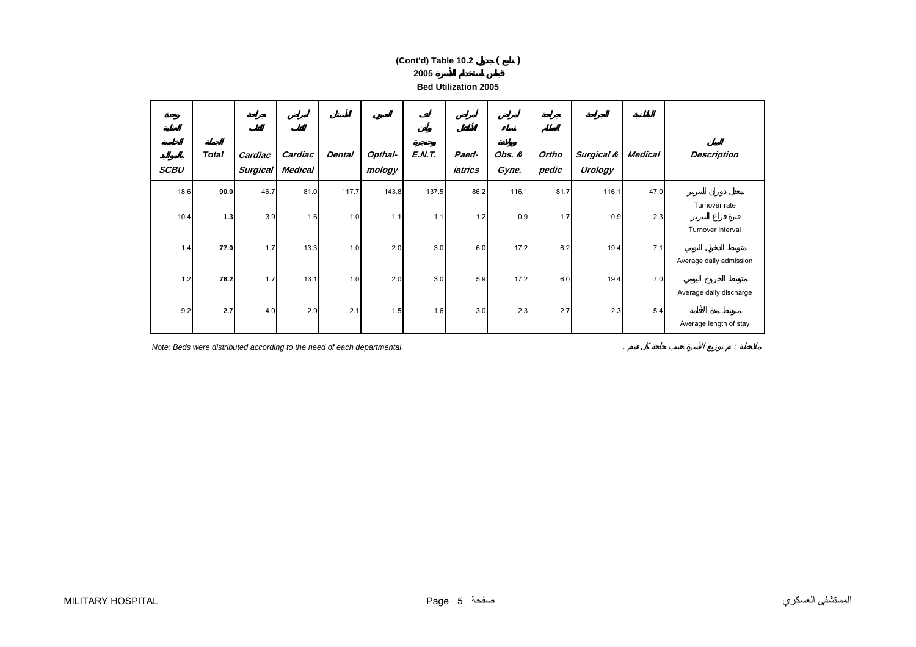# **2005 Bed Utilization 2005(Cont'd) Table 10.2 ( )**

| <b>SCBU</b> | <b>Total</b> | Cardiac<br><b>Surgical</b> | Cardiac<br><b>Medical</b> | <b>Dental</b> | Opthal-<br>mology | <b>E.N.T.</b> | Paed-<br>iatrics | Obs. &<br>Gyne. | Ortho<br>pedic | Surgical &<br><b>Urology</b> | <b>Medical</b> | <b>Description</b>      |
|-------------|--------------|----------------------------|---------------------------|---------------|-------------------|---------------|------------------|-----------------|----------------|------------------------------|----------------|-------------------------|
| 18.6        | 90.0         | 46.7                       | 81.0                      | 117.7         | 143.8             | 137.5         | 86.2             | 116.1           | 81.7           | 116.1                        | 47.0           |                         |
| 10.4        | 1.3          | 3.9                        | 1.6                       | 1.0           | 1.1               | 1.1           | 1.2              | 0.9             | 1.7            | 0.9                          | 2.3            | Turnover rate           |
|             |              |                            |                           |               |                   |               |                  |                 |                |                              |                | Turnover interval       |
| 1.4         | 77.0         | 1.7                        | 13.3                      | 1.0           | 2.0               | 3.0           | 6.0              | 17.2            | 6.2            | 19.4                         | 7.1            |                         |
|             |              |                            |                           |               |                   |               |                  |                 |                |                              |                | Average daily admission |
| 1.2         | 76.2         | 1.7                        | 13.1                      | 1.0           | 2.0               | 3.0           | 5.9              | 17.2            | 6.0            | 19.4                         | 7.0            | Average daily discharge |
| 9.2         | 2.7          | 4.0                        | 2.9                       | 2.1           | 1.5               | 1.6           | 3.0              | 2.3             | 2.7            | 2.3                          | 5.4            |                         |
|             |              |                            |                           |               |                   |               |                  |                 |                |                              |                | Average length of stay  |

*Note: Beds were distributed according to the need of each departmental.* Note:  $\frac{1}{2}$  is a set of each of each departmental.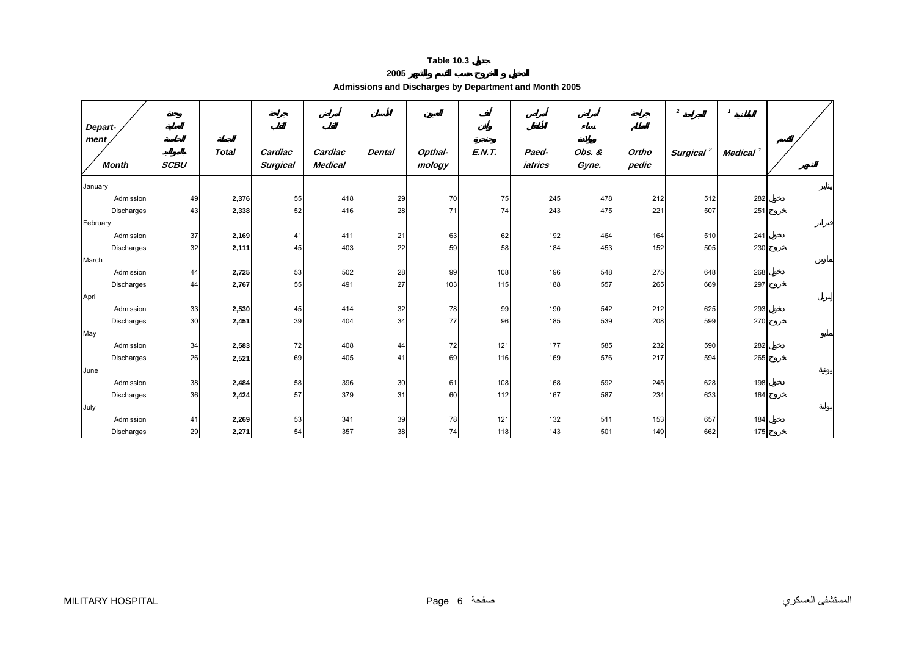<span id="page-4-0"></span>

| Depart-              |             |              |                            |                           |               |                   |               |                  |                 |                | $\overline{2}$        | $\mathbf{1}$         |  |
|----------------------|-------------|--------------|----------------------------|---------------------------|---------------|-------------------|---------------|------------------|-----------------|----------------|-----------------------|----------------------|--|
| ment<br><b>Month</b> | <b>SCBU</b> | <b>Total</b> | Cardiac<br><b>Surgical</b> | Cardiac<br><b>Medical</b> | <b>Dental</b> | Opthal-<br>mology | <b>E.N.T.</b> | Paed-<br>iatrics | Obs. &<br>Gyne. | Ortho<br>pedic | Surgical <sup>2</sup> | Medical <sup>1</sup> |  |
| January              |             |              |                            |                           |               |                   |               |                  |                 |                |                       |                      |  |
| Admission            | 49          | 2,376        | 55                         | 418                       | 29            | 70                | 75            | 245              | 478             | 212            | 512                   | 282                  |  |
| Discharges           | 43          | 2,338        | 52                         | 416                       | 28            | 71                | 74            | 243              | 475             | 221            | 507                   | 251                  |  |
| February             |             |              |                            |                           |               |                   |               |                  |                 |                |                       |                      |  |
| Admission            | 37          | 2,169        | 41                         | 411                       | 21            | 63                | 62            | 192              | 464             | 164            | 510                   | 241                  |  |
| Discharges           | 32          | 2,111        | 45                         | 403                       | 22            | 59                | 58            | 184              | 453             | 152            | 505                   | 230                  |  |
| March                |             |              |                            |                           |               |                   |               |                  |                 |                |                       |                      |  |
| Admission            | 44          | 2,725        | 53                         | 502                       | 28            | 99                | 108           | 196              | 548             | 275            | 648                   | 268                  |  |
| Discharges           | 44          | 2,767        | 55                         | 491                       | 27            | 103               | 115           | 188              | 557             | 265            | 669                   | 297                  |  |
| April                |             |              |                            |                           |               |                   |               |                  |                 |                |                       |                      |  |
| Admission            | 33          | 2,530        | 45                         | 414                       | 32            | 78                | 99            | 190              | 542             | 212            | 625                   | 293                  |  |
| Discharges           | 30          | 2,451        | 39                         | 404                       | 34            | 77                | 96            | 185              | 539             | 208            | 599                   | 270                  |  |
| May                  |             |              |                            |                           |               |                   |               |                  |                 |                |                       |                      |  |
| Admission            | 34          | 2,583        | 72                         | 408                       | 44            | 72                | 121           | 177              | 585             | 232            | 590                   | 282                  |  |
| Discharges           | 26          | 2,521        | 69                         | 405                       | 41            | 69                | 116           | 169              | 576             | 217            | 594                   | 265                  |  |
| June                 |             |              |                            |                           |               |                   |               |                  |                 |                |                       |                      |  |
| Admission            | 38          | 2,484        | 58                         | 396                       | 30            | 61                | 108           | 168              | 592             | 245            | 628                   | 198                  |  |
| Discharges           | 36          | 2,424        | 57                         | 379                       | 31            | 60                | 112           | 167              | 587             | 234            | 633                   | 164                  |  |
| July                 |             |              |                            |                           |               |                   |               |                  |                 |                |                       |                      |  |
| Admission            | 41          | 2,269        | 53                         | 341                       | 39            | 78                | 121           | 132              | 511             | 153            | 657                   | 184                  |  |
| Discharges           | 29          | 2,271        | 54                         | 357                       | 38            | 74                | 118           | 143              | 501             | 149            | 662                   | 175                  |  |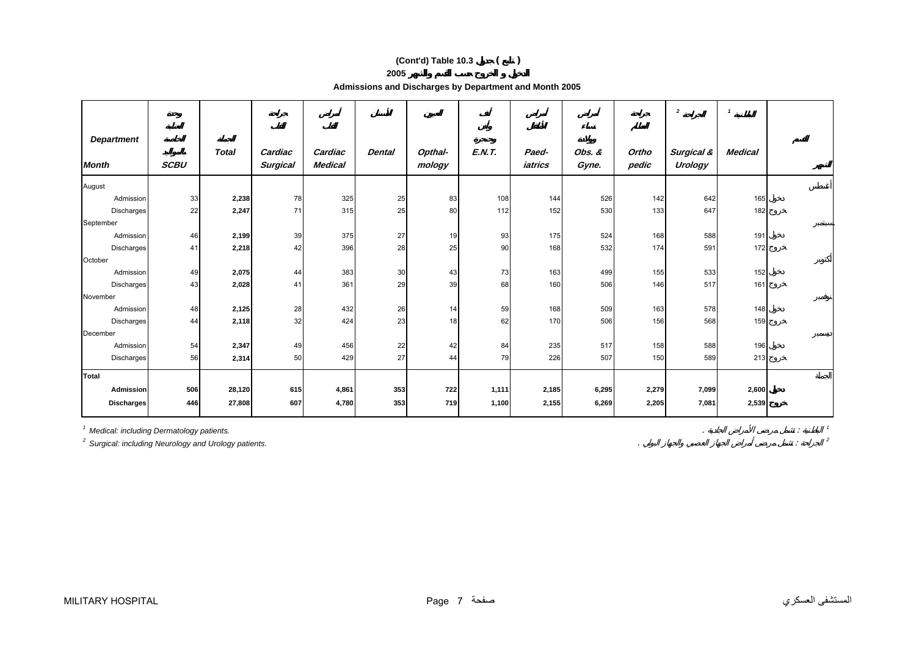# **(Cont'd) Table 10.3 ( )**

**2005** 

**Admissions and Discharges by Department and Month 2005** 

|                                   |             |              |                            |                           |               |                   |               |                  |                 |                | $\overline{2}$        | $\mathbf{1}$   |  |
|-----------------------------------|-------------|--------------|----------------------------|---------------------------|---------------|-------------------|---------------|------------------|-----------------|----------------|-----------------------|----------------|--|
| <b>Department</b><br><b>Month</b> | <b>SCBU</b> | <b>Total</b> | Cardiac<br><b>Surgical</b> | Cardiac<br><b>Medical</b> | <b>Dental</b> | Opthal-<br>mology | <b>E.N.T.</b> | Paed-<br>iatrics | Obs. &<br>Gyne. | Ortho<br>pedic | Surgical &<br>Urology | <b>Medical</b> |  |
| August                            |             |              |                            |                           |               |                   |               |                  |                 |                |                       |                |  |
| Admission                         | 33          | 2,238        | 78                         | 325                       | 25            | 83                | 108           | 144              | 526             | 142            | 642                   | 165            |  |
| Discharges                        | 22          | 2,247        | 71                         | 315                       | 25            | 80                | 112           | 152              | 530             | 133            | 647                   | 182            |  |
| September                         |             |              |                            |                           |               |                   |               |                  |                 |                |                       |                |  |
| Admission                         | 46          | 2,199        | 39                         | 375                       | 27            | 19                | 93            | 175              | 524             | 168            | 588                   | 191            |  |
| <b>Discharges</b>                 | 41          | 2,218        | 42                         | 396                       | 28            | 25                | 90            | 168              | 532             | 174            | 591                   | 172            |  |
| October                           |             |              |                            |                           |               |                   |               |                  |                 |                |                       |                |  |
| Admission                         | 49          | 2,075        | 44                         | 383                       | 30            | 43                | 73            | 163              | 499             | 155            | 533                   | 152            |  |
| Discharges                        | 43          | 2,028        | 41                         | 361                       | 29            | 39                | 68            | 160              | 506             | 146            | 517                   | 161            |  |
| November                          |             |              |                            |                           |               |                   |               |                  |                 |                |                       |                |  |
| Admission                         | 48          | 2,125        | 28                         | 432                       | 26            | 14                | 59            | 168              | 509             | 163            | 578                   | 148            |  |
| Discharges                        | 44          | 2,118        | 32                         | 424                       | 23            | 18                | 62            | 170              | 506             | 156            | 568                   | 159            |  |
| December                          |             |              |                            |                           |               |                   |               |                  |                 |                |                       |                |  |
| Admission                         | 54          | 2,347        | 49                         | 456                       | 22            | 42                | 84            | 235              | 517             | 158            | 588                   | 196            |  |
| Discharges                        | 56          | 2,314        | 50                         | 429                       | 27            | 44                | 79            | 226              | 507             | 150            | 589                   | 213            |  |
| Total                             |             |              |                            |                           |               |                   |               |                  |                 |                |                       |                |  |
| Admission                         | 506         | 28,120       | 615                        | 4,861                     | 353           | 722               | 1,111         | 2,185            | 6,295           | 2,279          | 7,099                 | 2,600          |  |
| <b>Discharges</b>                 | 446         | 27,808       | 607                        | 4,780                     | 353           | 719               | 1,100         | 2,155            | 6,269           | 2,205          | 7,081                 | 2,539          |  |

*1 Medical: including Dermatology patients.* . : *<sup>1</sup>*

*2 Surgical: including Neurology and Urology patients.* . : *<sup>2</sup>*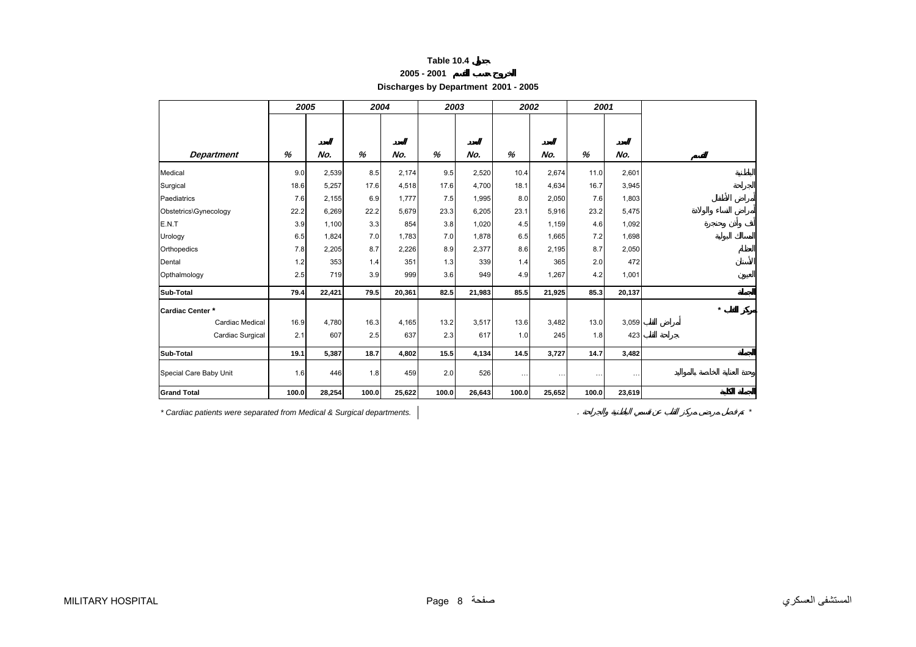| Table 10.4 |  |
|------------|--|
|------------|--|

**Discharges by Department 2001 - 2005**

<span id="page-6-0"></span>

|                        | 2005  |        | 2004  |        | 2003  |        | 2002     |        | 2001     |          |
|------------------------|-------|--------|-------|--------|-------|--------|----------|--------|----------|----------|
|                        |       |        |       |        |       |        |          |        |          |          |
| <b>Department</b>      | %     | No.    | %     | No.    | %     | No.    | %        | No.    | %        | No.      |
| Medical                | 9.0   | 2,539  | 8.5   | 2,174  | 9.5   | 2,520  | 10.4     | 2,674  | 11.0     | 2,601    |
| Surgical               | 18.6  | 5,257  | 17.6  | 4,518  | 17.6  | 4,700  | 18.1     | 4,634  | 16.7     | 3,945    |
| Paediatrics            | 7.6   | 2,155  | 6.9   | 1,777  | 7.5   | 1,995  | 8.0      | 2,050  | 7.6      | 1,803    |
| Obstetrics\Gynecology  | 22.2  | 6,269  | 22.2  | 5,679  | 23.3  | 6,205  | 23.1     | 5,916  | 23.2     | 5,475    |
| E.N.T                  | 3.9   | 1,100  | 3.3   | 854    | 3.8   | 1,020  | 4.5      | 1,159  | 4.6      | 1,092    |
| Urology                | 6.5   | 1,824  | 7.0   | 1,783  | 7.0   | 1,878  | 6.5      | 1,665  | 7.2      | 1,698    |
| Orthopedics            | 7.8   | 2,205  | 8.7   | 2,226  | 8.9   | 2,377  | 8.6      | 2,195  | 8.7      | 2,050    |
| Dental                 | 1.2   | 353    | 1.4   | 351    | 1.3   | 339    | 1.4      | 365    | 2.0      | 472      |
| Opthalmology           | 2.5   | 719    | 3.9   | 999    | 3.6   | 949    | 4.9      | 1,267  | 4.2      | 1,001    |
| Sub-Total              | 79.4  | 22,421 | 79.5  | 20,361 | 82.5  | 21,983 | 85.5     | 21,925 | 85.3     | 20,137   |
| Cardiac Center *       |       |        |       |        |       |        |          |        |          |          |
| Cardiac Medical        | 16.9  | 4,780  | 16.3  | 4,165  | 13.2  | 3,517  | 13.6     | 3,482  | 13.0     | 3,059    |
| Cardiac Surgical       | 2.1   | 607    | 2.5   | 637    | 2.3   | 617    | 1.0      | 245    | 1.8      | 423      |
| Sub-Total              | 19.1  | 5,387  | 18.7  | 4,802  | 15.5  | 4,134  | 14.5     | 3,727  | 14.7     | 3,482    |
| Special Care Baby Unit | 1.6   | 446    | 1.8   | 459    | 2.0   | 526    | $\cdots$ |        | $\cdots$ | $\cdots$ |
| <b>Grand Total</b>     | 100.0 | 28,254 | 100.0 | 25,622 | 100.0 | 26,643 | 100.0    | 25,652 | 100.0    | 23,619   |

*\* Cardiac patients were separated from Medical & Surgical departments.* . *\**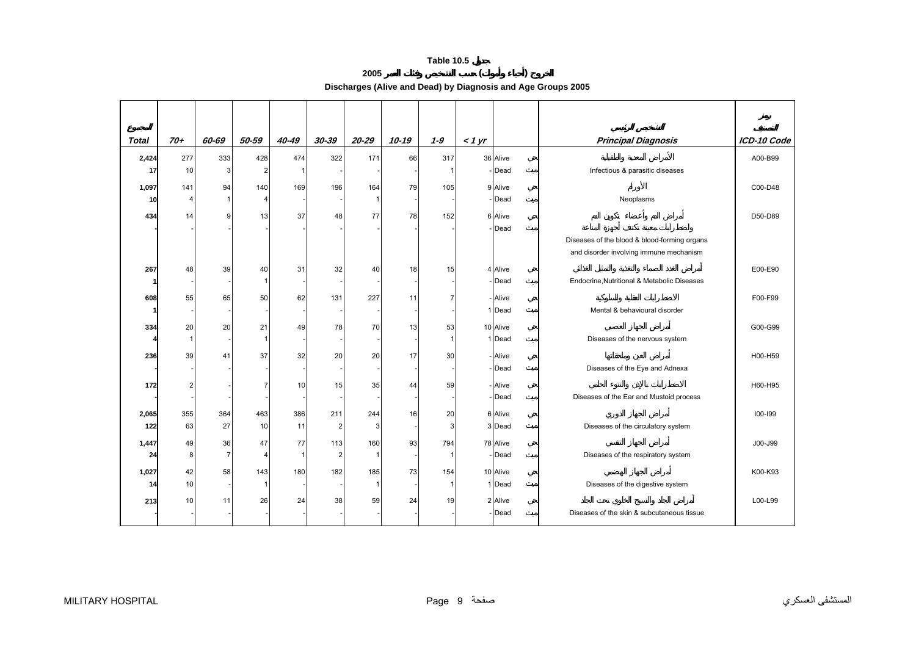**2005 ( ) Discharges (Alive and Dead) by Diagnosis and Age Groups 2005** 

<span id="page-7-0"></span>

| <b>Total</b> | $70+$          | 60-69          | 50-59          | 40-49        | $30 - 39$       | $20 - 29$ | $10 - 19$ | $1 - 9$ | $<$ 1 $yr$ |          | <b>Principal Diagnosis</b>                   | ICD-10 Code |
|--------------|----------------|----------------|----------------|--------------|-----------------|-----------|-----------|---------|------------|----------|----------------------------------------------|-------------|
| 2,424        | 277            | 333            | 428            | 474          | 322             | 171       | 66        | 317     |            | 36 Alive |                                              | A00-B99     |
| 17           | 10             | 3              | $\overline{2}$ |              |                 |           |           |         |            | Dead     | Infectious & parasitic diseases              |             |
| 1,097        | 141            | 94             | 140            | 169          | 196             | 164       | 79        | 105     |            | 9 Alive  |                                              | C00-D48     |
| 10           | $\overline{4}$ | 11             | $\overline{4}$ |              |                 |           |           |         |            | Dead     | Neoplasms                                    |             |
| 434          | 14             | 9              | 13             | 37           | 48              | 77        | 78        | 152     |            | 6 Alive  |                                              | D50-D89     |
|              |                |                |                |              |                 |           |           |         |            | Dead     |                                              |             |
|              |                |                |                |              |                 |           |           |         |            |          | Diseases of the blood & blood-forming organs |             |
|              |                |                |                |              |                 |           |           |         |            |          | and disorder involving immune mechanism      |             |
| 267          | 48             | 39             | 40             | 31           | 32              | 40        | 18        | 15      |            | 4 Alive  |                                              | E00-E90     |
|              |                |                | $\mathbf{1}$   |              |                 |           |           |         |            | Dead     | Endocrine, Nutritional & Metabolic Diseases  |             |
| 608          | 55             | 65             | 50             | 62           | 131             | 227       | 11        |         |            | Alive    |                                              | F00-F99     |
|              |                |                |                |              |                 |           |           |         |            | Dead     | Mental & behavioural disorder                |             |
| 334          | 20             | 20             | 21             | 49           | 78              | 70        | 13        | 53      |            | 10 Alive |                                              | G00-G99     |
|              | 1              |                | 1              |              |                 |           |           | -1      |            | 1 Dead   | Diseases of the nervous system               |             |
| 236          | 39             | 41             | 37             | 32           | 20              | 20        | 17        | 30      |            | Alive    |                                              | H00-H59     |
|              |                |                |                |              |                 |           |           |         |            | Dead     | Diseases of the Eye and Adnexa               |             |
| 172          | 2              |                |                | 10           | 15              | 35        | 44        | 59      |            | Alive    |                                              | H60-H95     |
|              |                |                |                |              |                 |           |           |         |            | Dead     | Diseases of the Ear and Mustoid process      |             |
| 2,065        | 355            | 364            | 463            | 386          | 211             | 244       | 16        | 20      |            | 6 Alive  |                                              | 100-199     |
| 122          | 63             | 27             | 10             | 11           | $\overline{2}$  | 3         |           | 3       |            | 3 Dead   | Diseases of the circulatory system           |             |
| 1,447        | 49             | 36             | 47             | 77           | 113             | 160       | 93        | 794     |            | 78 Alive |                                              | J00-J99     |
| 24           | 8              | $\overline{7}$ | Δ              | $\mathbf{1}$ | $\overline{a}$  |           |           | -1      |            | Dead     | Diseases of the respiratory system           |             |
| 1,027        | 42             | 58             | 143            | 180          | 182             | 185       | 73        | 154     |            | 10 Alive |                                              | K00-K93     |
| 14           | 10             |                |                |              |                 |           |           |         |            | 1 Dead   | Diseases of the digestive system             |             |
| 213          | 10             | 11             | 26             | 24           | 38 <sup>l</sup> | 59        | 24        | 19      |            | 2 Alive  |                                              | L00-L99     |
|              |                |                |                |              |                 |           |           |         |            | Dead     | Diseases of the skin & subcutaneous tissue   |             |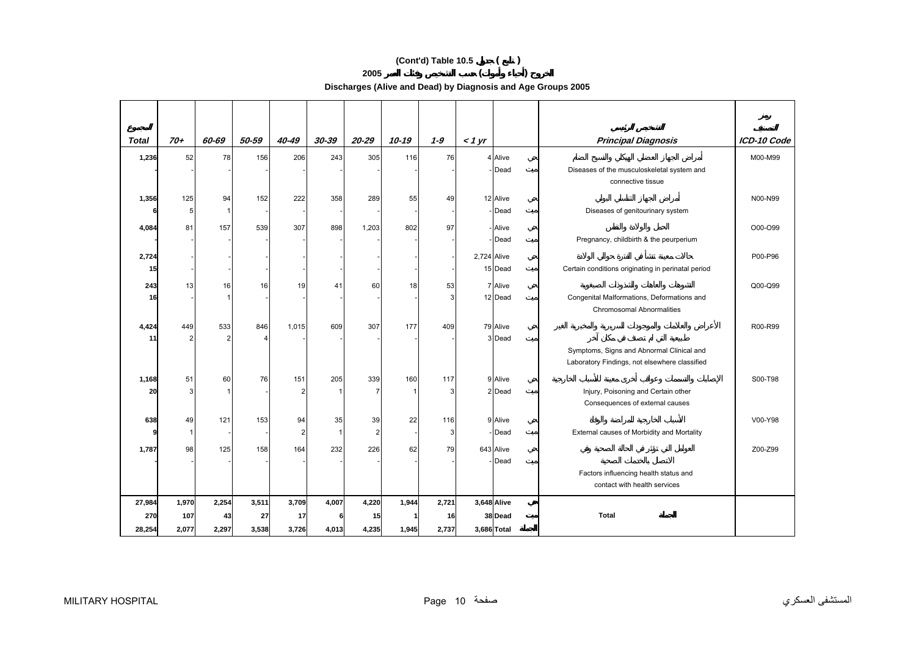# **(Cont'd) Table 10.5 ( )**

**2005 ( )** 

**Discharges (Alive and Dead) by Diagnosis and Age Groups 2005** 

| <b>Total</b> | $70+$                 | 60-69                 | 50-59 | 40-49          | 30-39        | $20 - 29$      | $10 - 19$ | $1 - 9$ | $<$ 1 yr    |                    | <b>Principal Diagnosis</b>                         | ICD-10 Code |
|--------------|-----------------------|-----------------------|-------|----------------|--------------|----------------|-----------|---------|-------------|--------------------|----------------------------------------------------|-------------|
| 1,236        | 52                    | 78                    | 156   | 206            | 243          | 305            | 116       | 76      |             | 4 Alive            |                                                    | M00-M99     |
|              |                       |                       |       |                |              |                |           |         |             | - Dead             | Diseases of the musculoskeletal system and         |             |
|              |                       |                       |       |                |              |                |           |         |             |                    | connective tissue                                  |             |
| 1,356        | 125                   | 94                    | 152   | 222            | 358          | 289            | 55        | 49      |             | 12 Alive           |                                                    | N00-N99     |
|              | 5                     | $\mathbf{1}$          |       |                |              |                |           |         |             | - Dead             | Diseases of genitourinary system                   |             |
| 4,084        | 81                    | 157                   | 539   | 307            | 898          | 1,203          | 802       | 97      |             | - Alive            |                                                    | O00-O99     |
|              |                       |                       |       |                |              |                |           |         |             | -Dead              | Pregnancy, childbirth & the peurperium             |             |
| 2,724        |                       |                       |       |                |              |                |           |         | 2,724 Alive |                    |                                                    | P00-P96     |
| 15           |                       |                       |       |                |              |                |           |         |             | 15 Dead            | Certain conditions originating in perinatal period |             |
|              |                       |                       |       |                |              |                |           |         |             |                    |                                                    |             |
| 243<br>16    | 13                    | 16                    | 16    | 19             | 41           | 60             | 18        | 53<br>3 |             | 7 Alive<br>12 Dead | Congenital Malformations, Deformations and         | Q00-Q99     |
|              |                       |                       |       |                |              |                |           |         |             |                    | <b>Chromosomal Abnormalities</b>                   |             |
|              |                       |                       |       |                |              |                |           |         |             |                    |                                                    |             |
| 4,424<br>11  | 449<br>$\overline{2}$ | 533<br>$\overline{2}$ | 846   | 1,015          | 609          | 307            | 177       | 409     |             | 79 Alive<br>3 Dead |                                                    | R00-R99     |
|              |                       |                       |       |                |              |                |           |         |             |                    | Symptoms, Signs and Abnormal Clinical and          |             |
|              |                       |                       |       |                |              |                |           |         |             |                    | Laboratory Findings, not elsewhere classified      |             |
| 1,168        | 51                    | 60                    | 76    | 151            | 205          | 339            | 160       | 117     |             | 9 Alive            |                                                    | S00-T98     |
| 20           | 3                     |                       |       | 2              |              | $\overline{7}$ |           | 3       |             | 2 Dead             | Injury, Poisoning and Certain other                |             |
|              |                       |                       |       |                |              |                |           |         |             |                    | Consequences of external causes                    |             |
| 638          | 49                    | 121                   | 153   | 94             | 35           | 39             | 22        | 116     |             | 9 Alive            |                                                    | V00-Y98     |
|              | $\mathbf 1$           |                       |       | $\overline{2}$ | $\mathbf{1}$ | $\overline{2}$ |           | 3       |             | -Dead              | External causes of Morbidity and Mortality         |             |
|              |                       |                       |       |                |              |                |           |         |             |                    |                                                    |             |
| 1,787        | 98                    | 125                   | 158   | 164            | 232          | 226            | 62        | 79      |             | 643 Alive<br>-Dead |                                                    | Z00-Z99     |
|              |                       |                       |       |                |              |                |           |         |             |                    | Factors influencing health status and              |             |
|              |                       |                       |       |                |              |                |           |         |             |                    | contact with health services                       |             |
| 27,984       | 1,970                 | 2,254                 | 3,511 | 3,709          | 4,007        | 4,220          | 1,944     | 2,721   |             | 3,648 Alive        |                                                    |             |
| 270          | 107                   | 43                    | 27    | 17             |              | 15             |           | 16      |             | 38 Dead            | <b>Total</b>                                       |             |
| 28,254       | 2,077                 | 2,297                 | 3,538 | 3,726          | 4,013        | 4,235          | 1,945     | 2,737   | 3,686 Total |                    |                                                    |             |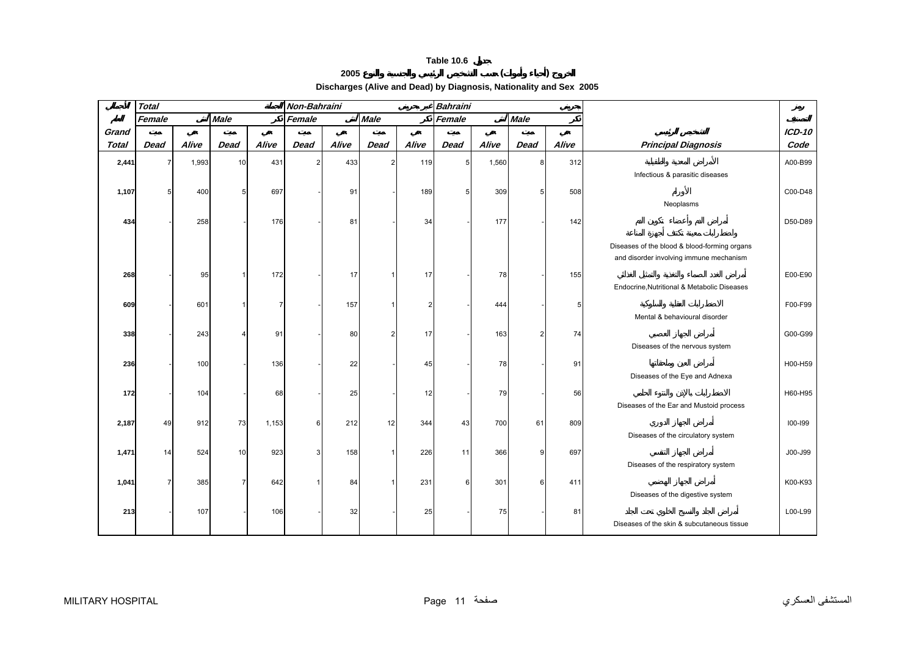

**2005 ( )** 

**Discharges (Alive and Dead) by Diagnosis, Nationality and Sex 2005** 

<span id="page-9-0"></span>

|              | <b>Total</b> |       |             |       | Non-Bahraini |       |                |                | <b>Bahraini</b> |       |                |       |                                              |          |
|--------------|--------------|-------|-------------|-------|--------------|-------|----------------|----------------|-----------------|-------|----------------|-------|----------------------------------------------|----------|
|              | Female       |       | <b>Male</b> |       | Female       |       | <b>Male</b>    |                | Female          |       | <b>Male</b>    |       |                                              |          |
| Grand        |              |       |             |       |              |       |                |                |                 |       |                |       |                                              | $ICD-10$ |
| <b>Total</b> | <b>Dead</b>  | Alive | <b>Dead</b> | Alive | <b>Dead</b>  | Alive | <b>Dead</b>    | Alive          | <b>Dead</b>     | Alive | <b>Dead</b>    | Alive | <b>Principal Diagnosis</b>                   | Code     |
| 2,441        | 7            | 1,993 | 10          | 431   | 2            | 433   | $\overline{2}$ | 119            | 5 <sub>l</sub>  | 1,560 | 8              | 312   |                                              | A00-B99  |
|              |              |       |             |       |              |       |                |                |                 |       |                |       | Infectious & parasitic diseases              |          |
| 1,107        |              | 400   | 5           | 697   |              | 91    |                | 189            |                 | 309   | 5              | 508   |                                              | C00-D48  |
|              |              |       |             |       |              |       |                |                |                 |       |                |       | Neoplasms                                    |          |
| 434          |              | 258   |             | 176   |              | 81    |                | 34             |                 | 177   |                | 142   |                                              | D50-D89  |
|              |              |       |             |       |              |       |                |                |                 |       |                |       |                                              |          |
|              |              |       |             |       |              |       |                |                |                 |       |                |       | Diseases of the blood & blood-forming organs |          |
|              |              |       |             |       |              |       |                |                |                 |       |                |       | and disorder involving immune mechanism      |          |
| 268          |              | 95    |             | 172   |              | 17    | -1             | 17             |                 | 78    |                | 155   |                                              | E00-E90  |
|              |              |       |             |       |              |       |                |                |                 |       |                |       | Endocrine, Nutritional & Metabolic Diseases  |          |
|              |              |       |             |       |              |       |                |                |                 |       |                |       |                                              |          |
| 609          |              | 601   |             |       |              | 157   |                | $\overline{2}$ |                 | 444   |                | 5     |                                              | F00-F99  |
|              |              |       |             |       |              |       |                |                |                 |       |                |       | Mental & behavioural disorder                |          |
| 338          |              | 243   |             | 91    |              | 80    | $\overline{2}$ | 17             |                 | 163   | $\overline{2}$ | 74    |                                              | G00-G99  |
|              |              |       |             |       |              |       |                |                |                 |       |                |       | Diseases of the nervous system               |          |
| 236          |              | 100   |             | 136   |              | 22    |                | 45             |                 | 78    |                | 91    |                                              | H00-H59  |
|              |              |       |             |       |              |       |                |                |                 |       |                |       | Diseases of the Eye and Adnexa               |          |
| 172          |              | 104   |             | 68    |              | 25    |                | 12             |                 | 79    |                | 56    |                                              | H60-H95  |
|              |              |       |             |       |              |       |                |                |                 |       |                |       | Diseases of the Ear and Mustoid process      |          |
| 2,187        | 49           | 912   | 73          | 1,153 | 6            | 212   | 12             | 344            | 43              | 700   | 61             | 809   |                                              | 100-199  |
|              |              |       |             |       |              |       |                |                |                 |       |                |       | Diseases of the circulatory system           |          |
|              |              |       |             |       | 3            |       |                |                |                 |       |                |       |                                              |          |
| 1,471        | 14           | 524   | 10          | 923   |              | 158   | $\mathbf{1}$   | 226            | 11              | 366   | 9              | 697   | Diseases of the respiratory system           | J00-J99  |
|              |              |       |             |       |              |       |                |                |                 |       |                |       |                                              |          |
| 1,041        |              | 385   | 7           | 642   |              | 84    | 1              | 231            | 6               | 301   | 6              | 411   |                                              | K00-K93  |
|              |              |       |             |       |              |       |                |                |                 |       |                |       | Diseases of the digestive system             |          |
| 213          |              | 107   |             | 106   |              | 32    |                | 25             |                 | 75    |                | 81    |                                              | L00-L99  |
|              |              |       |             |       |              |       |                |                |                 |       |                |       | Diseases of the skin & subcutaneous tissue   |          |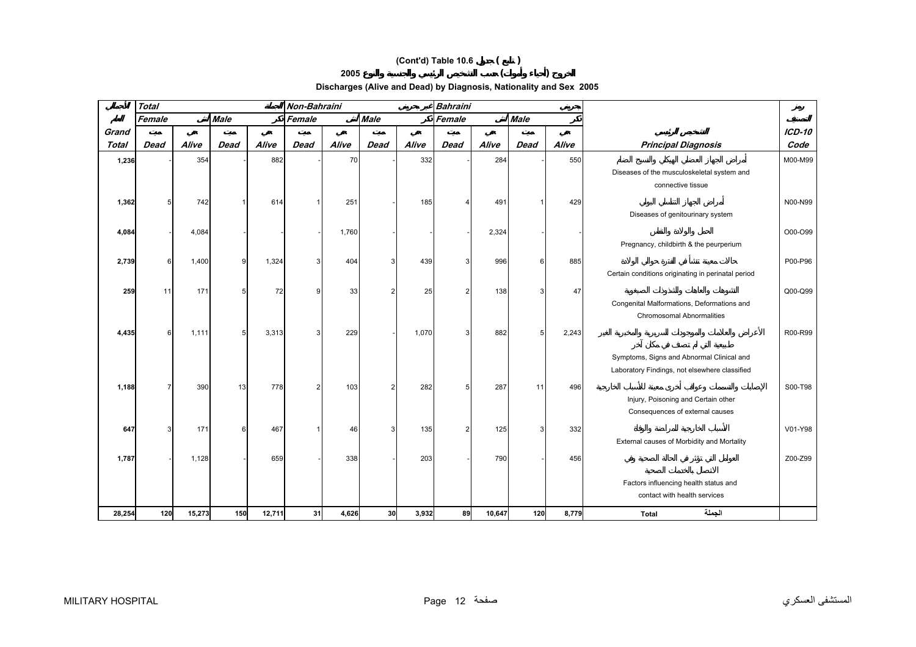# **(Cont'd) Table 10.6 ( )**

**<sup>2005</sup>( )** 

**Discharges (Alive and Dead) by Diagnosis, Nationality and Sex 2005** 

|              | <b>Total</b> |        |             |        | Non-Bahraini |       |                 |       | <b>Bahraini</b> |        |             |       |                                                    |               |
|--------------|--------------|--------|-------------|--------|--------------|-------|-----------------|-------|-----------------|--------|-------------|-------|----------------------------------------------------|---------------|
|              | Female       |        | <b>Male</b> |        | Female       |       | <b>Male</b>     |       | Female          |        | <b>Male</b> |       |                                                    |               |
| Grand        |              |        |             |        |              |       |                 |       |                 |        |             |       |                                                    | <b>ICD-10</b> |
| <b>Total</b> | <b>Dead</b>  | Alive  | <b>Dead</b> | Alive  | <b>Dead</b>  | Alive | <b>Dead</b>     | Alive | <b>Dead</b>     | Alive  | <b>Dead</b> | Alive | <b>Principal Diagnosis</b>                         | Code          |
| 1,236        |              | 354    |             | 882    |              | 70    |                 | 332   |                 | 284    |             | 550   |                                                    | M00-M99       |
|              |              |        |             |        |              |       |                 |       |                 |        |             |       | Diseases of the musculoskeletal system and         |               |
|              |              |        |             |        |              |       |                 |       |                 |        |             |       | connective tissue                                  |               |
| 1,362        |              | 742    |             | 614    |              | 251   |                 | 185   |                 | 491    |             | 429   |                                                    | N00-N99       |
|              |              |        |             |        |              |       |                 |       |                 |        |             |       | Diseases of genitourinary system                   |               |
| 4,084        |              | 4,084  |             |        |              | 1,760 |                 |       |                 | 2,324  |             |       |                                                    | O00-O99       |
|              |              |        |             |        |              |       |                 |       |                 |        |             |       | Pregnancy, childbirth & the peurperium             |               |
| 2,739        | 6            | 1,400  | 9           | 1,324  |              | 404   | 3               | 439   |                 | 996    | 6           | 885   |                                                    | P00-P96       |
|              |              |        |             |        |              |       |                 |       |                 |        |             |       | Certain conditions originating in perinatal period |               |
| 259          | 11           | 171    | 5           | 72     | g            | 33    | $\overline{2}$  | 25    |                 | 138    | ٩           | 47    |                                                    | Q00-Q99       |
|              |              |        |             |        |              |       |                 |       |                 |        |             |       | Congenital Malformations, Deformations and         |               |
|              |              |        |             |        |              |       |                 |       |                 |        |             |       | Chromosomal Abnormalities                          |               |
| 4,435        | 6            | 1,111  | 5           | 3,313  | 3            | 229   |                 | 1,070 |                 | 882    |             | 2,243 |                                                    | R00-R99       |
|              |              |        |             |        |              |       |                 |       |                 |        |             |       |                                                    |               |
|              |              |        |             |        |              |       |                 |       |                 |        |             |       | Symptoms, Signs and Abnormal Clinical and          |               |
|              |              |        |             |        |              |       |                 |       |                 |        |             |       | Laboratory Findings, not elsewhere classified      |               |
| 1,188        |              | 390    | 13          | 778    | 2            | 103   | $\overline{2}$  | 282   |                 | 287    | 11          | 496   |                                                    | S00-T98       |
|              |              |        |             |        |              |       |                 |       |                 |        |             |       | Injury, Poisoning and Certain other                |               |
|              |              |        |             |        |              |       |                 |       |                 |        |             |       | Consequences of external causes                    |               |
| 647          |              | 171    | 6           | 467    |              | 46    | $\mathbf{3}$    | 135   |                 | 125    | 3           | 332   |                                                    | V01-Y98       |
|              |              |        |             |        |              |       |                 |       |                 |        |             |       | External causes of Morbidity and Mortality         |               |
|              |              |        |             | 659    |              |       |                 | 203   |                 | 790    |             |       |                                                    | Z00-Z99       |
| 1,787        |              | 1,128  |             |        |              | 338   |                 |       |                 |        |             | 456   |                                                    |               |
|              |              |        |             |        |              |       |                 |       |                 |        |             |       | Factors influencing health status and              |               |
|              |              |        |             |        |              |       |                 |       |                 |        |             |       | contact with health services                       |               |
| 28,254       | 120          | 15,273 | 150         | 12,711 | 31           | 4,626 | 30 <sup>1</sup> | 3,932 | 89              | 10,647 | 120         | 8,779 | الحملة<br>Total                                    |               |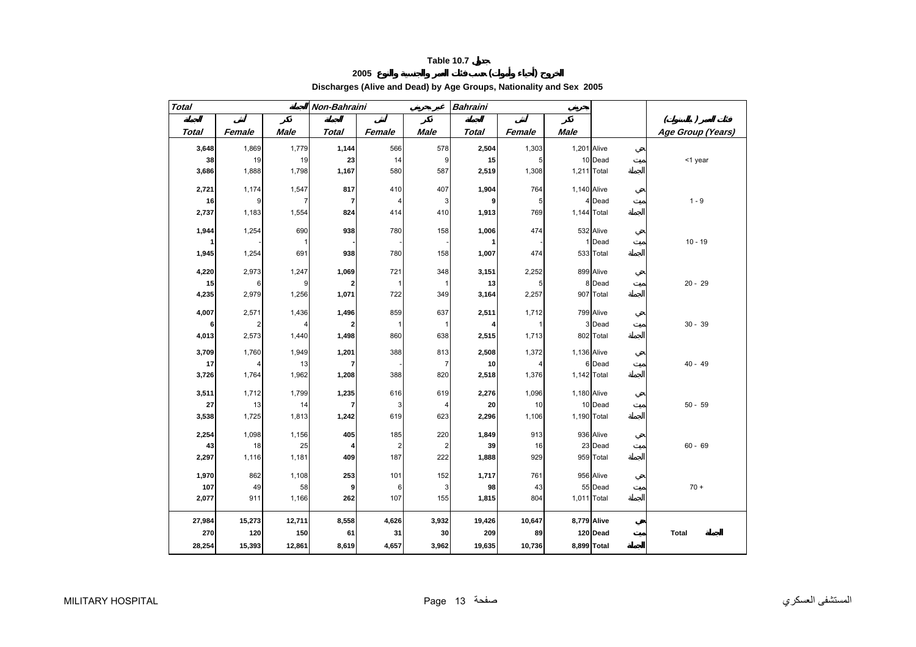# **2005 ( )**

**Discharges (Alive and Dead) by Age Groups, Nationality and Sex 2005** 

<span id="page-11-0"></span>

| <b>Total</b> |        |             | Non-Bahraini |        |                | <b>Bahraini</b> |                |             |             |                   |
|--------------|--------|-------------|--------------|--------|----------------|-----------------|----------------|-------------|-------------|-------------------|
|              |        |             |              |        |                |                 |                |             |             | (                 |
| <b>Total</b> | Female | <b>Male</b> | Total        | Female | Male           | <b>Total</b>    | Female         | Male        |             | Age Group (Years) |
| 3,648        | 1,869  | 1,779       | 1,144        | 566    | 578            | 2,504           | 1,303          | 1,201 Alive |             |                   |
| 38           | 19     | 19          | 23           | 14     | 9              | 15              | $\overline{5}$ |             | 10 Dead     | <1 year           |
| 3,686        | 1,888  | 1,798       | 1,167        | 580    | 587            | 2,519           | 1,308          | 1,211 Total |             |                   |
| 2,721        | 1,174  | 1,547       | 817          | 410    | 407            | 1,904           | 764            | 1,140 Alive |             |                   |
| 16           | 9      | 7           | 7            | 4      | 3              | 9               | 5              |             | 4 Dead      | $1 - 9$           |
| 2,737        | 1,183  | 1,554       | 824          | 414    | 410            | 1,913           | 769            | 1,144 Total |             |                   |
|              |        |             |              |        |                |                 |                |             |             |                   |
| 1,944        | 1,254  | 690         | 938          | 780    | 158            | 1,006           | 474            |             | 532 Alive   |                   |
|              |        |             |              |        |                | 1               |                |             | Dead        | $10 - 19$         |
| 1,945        | 1,254  | 691         | 938          | 780    | 158            | 1,007           | 474            |             | 533 Total   |                   |
| 4,220        | 2,973  | 1,247       | 1,069        | 721    | 348            | 3,151           | 2,252          |             | 899 Alive   |                   |
| 15           | 6      | 9           | 2            | 1      | $\mathbf{1}$   | 13              | 5              |             | 8 Dead      | $20 - 29$         |
| 4,235        | 2,979  | 1,256       | 1,071        | 722    | 349            | 3,164           | 2,257          |             | 907 Total   |                   |
| 4,007        | 2,571  | 1,436       | 1,496        | 859    | 637            | 2,511           | 1,712          |             | 799 Alive   |                   |
| 6            | 2      |             | 2            | 1      | $\mathbf{1}$   | 4               | $\mathbf{1}$   |             | 3 Dead      | $30 - 39$         |
| 4,013        | 2,573  | 1,440       | 1,498        | 860    | 638            | 2,515           | 1,713          |             | 802 Total   |                   |
| 3,709        | 1,760  | 1,949       | 1,201        | 388    | 813            | 2,508           | 1,372          | 1,136 Alive |             |                   |
| 17           |        | 13          | 7            |        | $\overline{7}$ | 10              | 4              |             | 6 Dead      | $40 - 49$         |
| 3,726        | 1,764  | 1,962       | 1,208        | 388    | 820            | 2,518           | 1,376          | 1,142 Total |             |                   |
|              |        |             |              |        |                |                 |                |             |             |                   |
| 3,511        | 1,712  | 1,799       | 1,235        | 616    | 619            | 2,276           | 1,096          | 1,180 Alive |             |                   |
| 27           | 13     | 14          | 7            | 3      | 4              | 20              | 10             |             | 10 Dead     | $50 - 59$         |
| 3,538        | 1,725  | 1,813       | 1,242        | 619    | 623            | 2,296           | 1,106          | 1,190 Total |             |                   |
| 2,254        | 1,098  | 1,156       | 405          | 185    | 220            | 1,849           | 913            |             | 936 Alive   |                   |
| 43           | 18     | 25          |              | 2      | $\overline{a}$ | 39              | 16             |             | 23 Dead     | $60 - 69$         |
| 2,297        | 1,116  | 1,181       | 409          | 187    | 222            | 1,888           | 929            |             | 959 Total   |                   |
| 1,970        | 862    | 1,108       | 253          | 101    | 152            | 1,717           | 761            |             | 956 Alive   |                   |
| 107          | 49     | 58          | 9            | 6      | 3              | 98              | 43             |             | 55 Dead     | $70 +$            |
| 2,077        | 911    | 1,166       | 262          | 107    | 155            | 1,815           | 804            | 1,011 Total |             |                   |
|              |        |             |              |        |                |                 |                |             |             |                   |
| 27,984       | 15,273 | 12,711      | 8,558        | 4,626  | 3,932          | 19,426          | 10,647         | 8,779 Alive |             |                   |
| 270          | 120    | 150         | 61           | 31     | 30             | 209             | 89             |             | 120 Dead    | <b>Total</b>      |
| 28,254       | 15,393 | 12,861      | 8,619        | 4,657  | 3,962          | 19,635          | 10,736         |             | 8,899 Total |                   |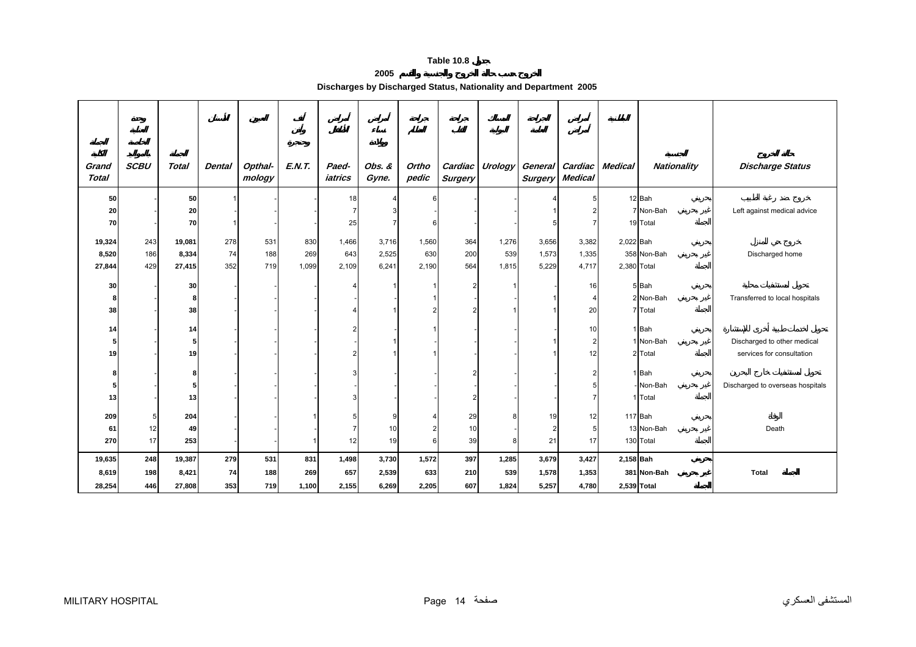## **2005**

**Discharges by Discharged Status, Nationality and Department 2005** 

<span id="page-12-0"></span>

| Grand<br><b>Total</b> | <b>SCBU</b> | <b>Total</b>   | <b>Dental</b> | Opthal-<br>mology | E.N.T. | Paed-<br>iatrics | Obs. &<br>Gyne. | Ortho<br>pedic | Cardiac<br><b>Surgery</b> | Urology | <b>Surgery</b> | General Cardiac<br><b>Medical</b> | <b>Medical</b> | <b>Nationality</b>   | <b>Discharge Status</b>          |
|-----------------------|-------------|----------------|---------------|-------------------|--------|------------------|-----------------|----------------|---------------------------|---------|----------------|-----------------------------------|----------------|----------------------|----------------------------------|
| 50                    |             | 50             |               |                   |        | 18               |                 | ี              |                           |         |                |                                   |                | 12 Bah               |                                  |
| 20                    |             | 20             |               |                   |        |                  |                 |                |                           |         |                |                                   |                | 7 Non-Bah            | Left against medical advice      |
| 70                    |             | 70             |               |                   |        | 25               |                 | ี              |                           |         |                |                                   |                | 19 Total             |                                  |
| 19,324                | 243         | 19,081         | 278           | 531               | 830    | 1,466            | 3,716           | 1,560          | 364                       | 1,276   | 3,656          | 3,382                             | 2,022 Bah      |                      |                                  |
| 8,520                 | 186         | 8,334          | 74            | 188               | 269    | 643              | 2,525           | 630            | 200                       | 539     | 1,573          | 1,335                             |                | 358 Non-Bah          | Discharged home                  |
| 27,844                | 429         | 27,415         | 352           | 719               | 1,099  | 2,109            | 6,241           | 2,190          | 564                       | 1,815   | 5,229          | 4,717                             | 2,380 Total    |                      |                                  |
|                       |             |                |               |                   |        |                  |                 |                |                           |         |                |                                   |                |                      |                                  |
| 30                    |             | 30             |               |                   |        |                  |                 |                |                           |         |                | 16                                |                | 5 Bah                |                                  |
| 8                     |             | 8<br>38        |               |                   |        |                  |                 |                |                           |         |                | 4                                 |                | 2 Non-Bah<br>7 Total | Transferred to local hospitals   |
| 38                    |             |                |               |                   |        |                  |                 |                |                           |         |                | 20                                |                |                      |                                  |
| 14                    |             | 14             |               |                   |        |                  |                 |                |                           |         |                | 10                                |                | 1 Bah                |                                  |
| 5                     |             | 5 <sub>l</sub> |               |                   |        |                  |                 |                |                           |         |                | $\overline{2}$                    |                | 1 Non-Bah            | Discharged to other medical      |
| 19                    |             | 19             |               |                   |        |                  |                 |                |                           |         |                | 12                                |                | 2 Total              | services for consultation        |
| 8                     |             | 8              |               |                   |        |                  |                 |                |                           |         |                |                                   |                | 1 Bah                |                                  |
| 5                     |             | 5 <sub>l</sub> |               |                   |        |                  |                 |                |                           |         |                |                                   |                | Non-Bah              | Discharged to overseas hospitals |
| 13                    |             | 13             |               |                   |        |                  |                 |                |                           |         |                |                                   |                | 1 Total              |                                  |
|                       |             |                |               |                   |        |                  |                 |                |                           |         |                |                                   |                |                      |                                  |
| 209                   |             | 204            |               |                   |        |                  |                 |                | 29                        |         | 19             | 12                                |                | 117 Bah              |                                  |
| 61                    | 12          | 49             |               |                   |        |                  | 10              |                | 10                        |         |                | 5                                 |                | 13 Non-Bah           | Death                            |
| 270                   | 17          | 253            |               |                   |        | 12               | 19              | 6              | 39                        | 8       | 21             | 17                                |                | 130 Total            |                                  |
| 19,635                | 248         | 19,387         | 279           | 531               | 831    | 1,498            | 3,730           | 1,572          | 397                       | 1,285   | 3,679          | 3,427                             | 2,158 Bah      |                      |                                  |
| 8,619                 | 198         | 8,421          | 74            | 188               | 269    | 657              | 2,539           | 633            | 210                       | 539     | 1,578          | 1,353                             |                | 381 Non-Bah          | <b>Total</b>                     |
| 28,254                | 446         | 27,808         | 353           | 719               | 1,100  | 2,155            | 6,269           | 2,205          | 607                       | 1,824   | 5,257          | 4,780                             |                | 2,539 Total          |                                  |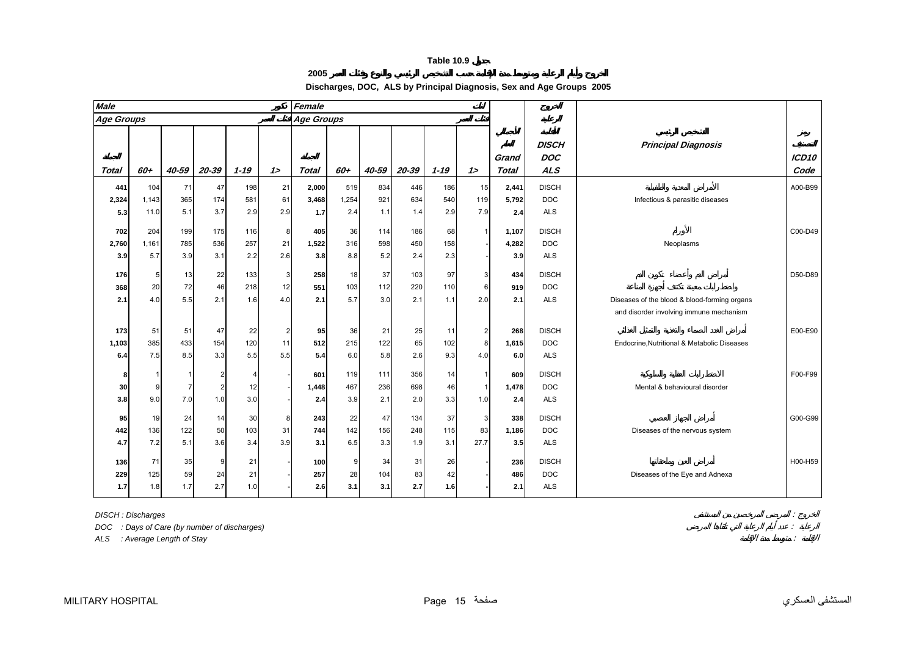**2005** 

| Discharges, DOC, ALS by Principal Diagnosis, Sex and Age Groups 2005 |  |
|----------------------------------------------------------------------|--|
|----------------------------------------------------------------------|--|

<span id="page-13-0"></span>

| <b>Male</b>  |       |                |           |                |                      | Female            |       |           |          |           |                     |                       |                                          |                                              |               |
|--------------|-------|----------------|-----------|----------------|----------------------|-------------------|-------|-----------|----------|-----------|---------------------|-----------------------|------------------------------------------|----------------------------------------------|---------------|
| Age Groups   |       |                |           |                |                      | <b>Age Groups</b> |       |           |          |           |                     |                       |                                          |                                              |               |
| Total        | 60+   | 40-59          | $20 - 39$ | $1 - 19$       | $1\geq$              | <b>Total</b>      | 60+   | 40-59     | 20-39    | $1 - 19$  | 12                  | Grand<br><b>Total</b> | <b>DISCH</b><br><b>DOC</b><br><b>ALS</b> | <b>Principal Diagnosis</b>                   | ICD10<br>Code |
| 441          | 104   | 71             | 47        | 198            | 21                   | 2,000             | 519   | 834       | 446      | 186       | 15                  | 2,441                 | <b>DISCH</b>                             |                                              | A00-B99       |
| 2,324        | 1,143 | 365            | 174       | 581            | 61                   | 3,468             | 1,254 | 921       | 634      | 540       | 119                 | 5,792                 | <b>DOC</b>                               | Infectious & parasitic diseases              |               |
| 5.3          | 11.0  | 5.1            | 3.7       | 2.9            | 2.9                  | 1.7               | 2.4   | 1.1       | 1.4      | 2.9       | 7.9                 | 2.4                   | <b>ALS</b>                               |                                              |               |
|              |       |                |           |                |                      |                   |       |           |          |           |                     |                       |                                          |                                              |               |
| 702          | 204   | 199            | 175       | 116            | 8                    | 405               | 36    | 114       | 186      | 68        | $\overline{1}$      | 1,107                 | <b>DISCH</b>                             |                                              | C00-D49       |
| 2,760        | 1,161 | 785            | 536       | 257            | 21                   | 1,522             | 316   | 598       | 450      | 158       |                     | 4,282                 | <b>DOC</b>                               | Neoplasms                                    |               |
| 3.9          | 5.7   | 3.9            | 3.1       | 2.2            | 2.6                  | 3.8               | 8.8   | 5.2       | 2.4      | 2.3       |                     | 3.9                   | <b>ALS</b>                               |                                              |               |
| 176          | 5     | 13             | 22        | 133            | 3                    | 258               | 18    | 37        | 103      | 97        | $\mathbf{3}$        | 434                   | <b>DISCH</b>                             |                                              | D50-D89       |
| 368          | 20    | 72             | 46        | 218            | 12                   | 551               | 103   | 112       | 220      | 110       | 6                   | 919                   | <b>DOC</b>                               |                                              |               |
| 2.1          | 4.0   | 5.5            | 2.1       | 1.6            | 4.0                  | 2.1               | 5.7   | 3.0       | 2.1      | 1.1       | 2.0                 | 2.1                   | <b>ALS</b>                               | Diseases of the blood & blood-forming organs |               |
|              |       |                |           |                |                      |                   |       |           |          |           |                     |                       |                                          | and disorder involving immune mechanism      |               |
|              | 51    |                |           |                |                      |                   | 36    |           |          |           |                     |                       | <b>DISCH</b>                             |                                              | E00-E90       |
| 173<br>1,103 | 385   | 51<br>433      | 47<br>154 | 22<br>120      | $\overline{c}$<br>11 | 95<br>512         | 215   | 21<br>122 | 25<br>65 | 11<br>102 | $\overline{2}$<br>8 | 268<br>1,615          | <b>DOC</b>                               | Endocrine.Nutritional & Metabolic Diseases   |               |
| 6.4          | 7.5   | 8.5            | 3.3       | 5.5            | 5.5                  | 5.4               | 6.0   | 5.8       | 2.6      | 9.3       | 4.0                 | 6.0                   | <b>ALS</b>                               |                                              |               |
|              |       |                |           |                |                      |                   |       |           |          |           |                     |                       |                                          |                                              |               |
| 8            | -1    | 1              |           | $\overline{4}$ |                      | 601               | 119   | 111       | 356      | 14        | $\overline{1}$      | 609                   | <b>DISCH</b>                             |                                              | F00-F99       |
| 30           | 9     | $\overline{7}$ |           | 12             |                      | 1,448             | 467   | 236       | 698      | 46        | $\overline{1}$      | 1,478                 | <b>DOC</b>                               | Mental & behavioural disorder                |               |
| 3.8          | 9.0   | 7.0            | 1.0       | 3.0            |                      | 2.4               | 3.9   | 2.1       | 2.0      | 3.3       | 1.0                 | 2.4                   | <b>ALS</b>                               |                                              |               |
| 95           | 19    | 24             | 14        | 30             | 8                    | 243               | 22    | 47        | 134      | 37        | 3                   | 338                   | <b>DISCH</b>                             |                                              | G00-G99       |
| 442          | 136   | 122            | 50        | 103            | 31                   | 744               | 142   | 156       | 248      | 115       | 83                  | 1,186                 | <b>DOC</b>                               | Diseases of the nervous system               |               |
| 4.7          | 7.2   | 5.1            | 3.6       | 3.4            | 3.9                  | 3.1               | 6.5   | 3.3       | 1.9      | 3.1       | 27.7                | 3.5                   | <b>ALS</b>                               |                                              |               |
|              |       |                |           |                |                      |                   |       |           |          |           |                     |                       |                                          |                                              |               |
| 136          | 71    | 35             | 9         | 21             |                      | 100               | 9     | 34        | 31       | 26        |                     | 236                   | <b>DISCH</b>                             |                                              | H00-H59       |
| 229          | 125   | 59             | 24        | 21             |                      | 257               | 28    | 104       | 83       | 42        |                     | 486                   | <b>DOC</b>                               | Diseases of the Eye and Adnexa               |               |
| 1.7          | 1.8   | 1.7            | 2.7       | 1.0            |                      | 2.6               | 3.1   | 3.1       | 2.7      | 1.6       |                     | 2.1                   | <b>ALS</b>                               |                                              |               |

*DISCH : Discharges* : *DOC : Days of Care (by number of discharges)* :

*ALS : Average Length of Stay* :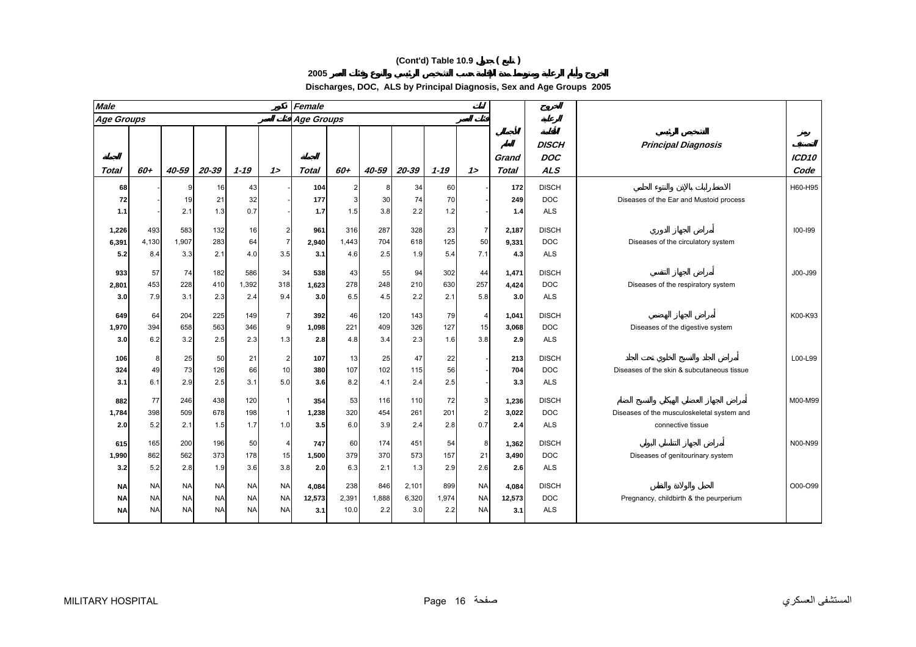# **(Cont'd) Table 10.9 ( )**

**Discharges, DOC, ALS by Principal Diagnosis, Sex and Age Groups 2005**

| <b>Male</b>                         |                                     |                                     |                                     |                                     |                                         | Female                 |                      |                     |                       |                     |                                     |                        |                                          |                                                                 |                           |
|-------------------------------------|-------------------------------------|-------------------------------------|-------------------------------------|-------------------------------------|-----------------------------------------|------------------------|----------------------|---------------------|-----------------------|---------------------|-------------------------------------|------------------------|------------------------------------------|-----------------------------------------------------------------|---------------------------|
| <b>Age Groups</b>                   |                                     |                                     |                                     |                                     |                                         | <b>Age Groups</b>      |                      |                     |                       |                     |                                     |                        |                                          |                                                                 |                           |
| Total                               | 60+                                 | 40-59                               | 20-39                               | $1 - 19$                            | 12                                      | <b>Total</b>           | 60+                  | 40-59               | 20-39                 | $1 - 19$            | 12                                  | Grand<br><b>Total</b>  | <b>DISCH</b><br><b>DOC</b><br><b>ALS</b> | <b>Principal Diagnosis</b>                                      | ICD <sub>10</sub><br>Code |
| 68<br>72<br>1.1                     |                                     | 19<br>2.1                           | 16<br>21<br>1.3                     | 43<br>32<br>0.7                     |                                         | 104<br>177<br>1.7      | 2<br>3<br>1.5        | 8<br>30<br>3.8      | 34<br>74<br>2.2       | 60<br>70<br>1.2     |                                     | 172<br>249<br>1.4      | <b>DISCH</b><br><b>DOC</b><br><b>ALS</b> | Diseases of the Ear and Mustoid process                         | H60-H95                   |
| 1,226<br>6,391<br>5.2               | 493<br>4,130<br>8.4                 | 583<br>1,907<br>3.3                 | 132<br>283<br>2.1                   | 16<br>64<br>4.0                     | $\overline{a}$<br>$\overline{7}$<br>3.5 | 961<br>2,940<br>3.1    | 316<br>1,443<br>4.6  | 287<br>704<br>2.5   | 328<br>618<br>1.9     | 23<br>125<br>5.4    | $\overline{7}$<br>50<br>7.1         | 2,187<br>9,331<br>4.3  | <b>DISCH</b><br><b>DOC</b><br><b>ALS</b> | Diseases of the circulatory system                              | 100-199                   |
| 933<br>2,801<br>3.0                 | 57<br>453<br>7.9                    | 74<br>228<br>3.1                    | 182<br>410<br>2.3                   | 586<br>1,392<br>2.4                 | 34<br>318<br>9.4                        | 538<br>1,623<br>3.0    | 43<br>278<br>6.5     | 55<br>248<br>4.5    | 94<br>210<br>2.2      | 302<br>630<br>2.1   | 44<br>257<br>5.8                    | 1,471<br>4,424<br>3.0  | <b>DISCH</b><br><b>DOC</b><br><b>ALS</b> | Diseases of the respiratory system                              | J00-J99                   |
| 649<br>1,970<br>3.0                 | 64<br>394<br>6.2                    | 204<br>658<br>3.2                   | 225<br>563<br>2.5                   | 149<br>346<br>2.3                   | $\overline{7}$<br>$\overline{9}$<br>1.3 | 392<br>1,098<br>2.8    | 46<br>221<br>4.8     | 120<br>409<br>3.4   | 143<br>326<br>2.3     | 79<br>127<br>1.6    | $\overline{4}$<br>15<br>3.8         | 1,041<br>3,068<br>2.9  | <b>DISCH</b><br><b>DOC</b><br><b>ALS</b> | Diseases of the digestive system                                | K00-K93                   |
| 106<br>324<br>3.1                   | 8<br>49<br>6.1                      | 25<br>73<br>2.9                     | 50<br>126<br>2.5                    | 21<br>66<br>3.1                     | $\overline{a}$<br>10<br>5.0             | 107<br>380<br>3.6      | 13<br>107<br>8.2     | 25<br>102<br>4.1    | 47<br>115<br>2.4      | 22<br>56<br>2.5     |                                     | 213<br>704<br>3.3      | <b>DISCH</b><br><b>DOC</b><br><b>ALS</b> | Diseases of the skin & subcutaneous tissue                      | L00-L99                   |
| 882<br>1,784<br>2.0                 | 77<br>398<br>5.2                    | 246<br>509<br>2.1                   | 438<br>678<br>1.5                   | 120<br>198<br>1.7                   | $\mathbf{1}$<br>$\mathbf{1}$<br>1.0     | 354<br>1,238<br>3.5    | 53<br>320<br>6.0     | 116<br>454<br>3.9   | 110<br>261<br>2.4     | 72<br>201<br>2.8    | 3<br>$\overline{2}$<br>0.7          | 1,236<br>3,022<br>2.4  | <b>DISCH</b><br><b>DOC</b><br><b>ALS</b> | Diseases of the musculoskeletal system and<br>connective tissue | M00-M99                   |
| 615<br>1,990<br>3.2                 | 165<br>862<br>5.2                   | 200<br>562<br>2.8                   | 196<br>373<br>1.9                   | 50<br>178<br>3.6                    | $\overline{4}$<br>15<br>3.8             | 747<br>1,500<br>2.0    | 60<br>379<br>6.3     | 174<br>370<br>2.1   | 451<br>573<br>1.3     | 54<br>157<br>2.9    | 8<br>21<br>2.6                      | 1,362<br>3,490<br>2.6  | <b>DISCH</b><br><b>DOC</b><br><b>ALS</b> | Diseases of genitourinary system                                | N00-N99                   |
| <b>NA</b><br><b>NA</b><br><b>NA</b> | <b>NA</b><br><b>NA</b><br><b>NA</b> | <b>NA</b><br><b>NA</b><br><b>NA</b> | <b>NA</b><br><b>NA</b><br><b>NA</b> | <b>NA</b><br><b>NA</b><br><b>NA</b> | <b>NA</b><br><b>NA</b><br><b>NA</b>     | 4,084<br>12,573<br>3.1 | 238<br>2,391<br>10.0 | 846<br>1,888<br>2.2 | 2,101<br>6,320<br>3.0 | 899<br>1,974<br>2.2 | <b>NA</b><br><b>NA</b><br><b>NA</b> | 4,084<br>12,573<br>3.1 | <b>DISCH</b><br><b>DOC</b><br><b>ALS</b> | Pregnancy, childbirth & the peurperium                          | O00-O99                   |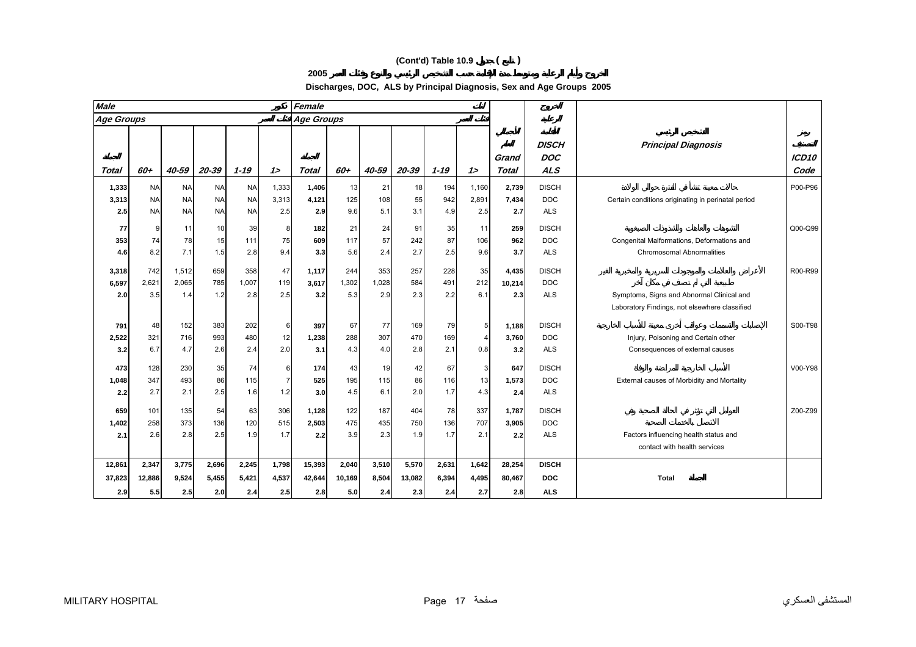# **(Cont'd) Table 10.9 ( )**

| Discharges, DOC, ALS by Principal Diagnosis, Sex and Age Groups 2005 |  |
|----------------------------------------------------------------------|--|
|----------------------------------------------------------------------|--|

| <b>Male</b>       |           |           |           |           |                | Female            |        |       |           |          |                |                       |                                          |                                                    |                           |
|-------------------|-----------|-----------|-----------|-----------|----------------|-------------------|--------|-------|-----------|----------|----------------|-----------------------|------------------------------------------|----------------------------------------------------|---------------------------|
| <b>Age Groups</b> |           |           |           |           |                | <b>Age Groups</b> |        |       |           |          |                |                       |                                          |                                                    |                           |
| Total             | 60+       | 40-59     | 20-39     | $1 - 19$  | 12             | Total             | 60+    | 40-59 | $20 - 39$ | $1 - 19$ | 12             | Grand<br><b>Total</b> | <b>DISCH</b><br><b>DOC</b><br><b>ALS</b> | <b>Principal Diagnosis</b>                         | ICD <sub>10</sub><br>Code |
|                   | <b>NA</b> | <b>NA</b> | <b>NA</b> | <b>NA</b> | 1,333          | 1,406             | 13     | 21    | 18        | 194      | 1,160          | 2,739                 | <b>DISCH</b>                             |                                                    | P00-P96                   |
| 1,333<br>3,313    | <b>NA</b> | <b>NA</b> | <b>NA</b> | <b>NA</b> | 3,313          | 4,121             | 125    | 108   | 55        | 942      | 2,891          | 7,434                 | <b>DOC</b>                               | Certain conditions originating in perinatal period |                           |
| 2.5               | <b>NA</b> | <b>NA</b> | <b>NA</b> | <b>NA</b> | 2.5            | 2.9               | 9.6    | 5.1   | 3.1       | 4.9      | 2.5            | 2.7                   | <b>ALS</b>                               |                                                    |                           |
|                   |           |           |           |           |                |                   |        |       |           |          |                |                       |                                          |                                                    |                           |
| 77                | 9         | 11        | 10        | 39        | 8              | 182               | 21     | 24    | 91        | 35       | 11             | 259                   | <b>DISCH</b>                             |                                                    | Q00-Q99                   |
| 353               | 74        | 78        | 15        | 111       | 75             | 609               | 117    | 57    | 242       | 87       | 106            | 962                   | DOC                                      | Congenital Malformations, Deformations and         |                           |
| 4.6               | 8.2       | 7.1       | 1.5       | 2.8       | 9.4            | 3.3               | 5.6    | 2.4   | 2.7       | 2.5      | 9.6            | 3.7                   | <b>ALS</b>                               | <b>Chromosomal Abnormalities</b>                   |                           |
| 3,318             | 742       | 1,512     | 659       | 358       | 47             | 1,117             | 244    | 353   | 257       | 228      | 35             | 4,435                 | <b>DISCH</b>                             |                                                    | R00-R99                   |
| 6,597             | 2,621     | 2,065     | 785       | 1,007     | 119            | 3,617             | 1,302  | 1,028 | 584       | 491      | 212            | 10,214                | <b>DOC</b>                               |                                                    |                           |
| 2.0               | 3.5       | 1.4       | 1.2       | 2.8       | 2.5            | 3.2               | 5.3    | 2.9   | 2.3       | 2.2      | 6.1            | 2.3                   | <b>ALS</b>                               | Symptoms, Signs and Abnormal Clinical and          |                           |
|                   |           |           |           |           |                |                   |        |       |           |          |                |                       |                                          | Laboratory Findings, not elsewhere classified      |                           |
|                   |           |           |           |           |                |                   |        |       |           |          |                |                       |                                          |                                                    |                           |
| 791               | 48        | 152       | 383       | 202       | 6              | 397               | 67     | 77    | 169       | 79       | 5 <sub>l</sub> | 1,188                 | <b>DISCH</b>                             |                                                    | S00-T98                   |
| 2,522             | 321       | 716       | 993       | 480       | 12             | 1,238             | 288    | 307   | 470       | 169      |                | 3,760                 | <b>DOC</b>                               | Injury, Poisoning and Certain other                |                           |
| 3.2               | 6.7       | 4.7       | 2.6       | 2.4       | 2.0            | 3.1               | 4.3    | 4.0   | 2.8       | 2.1      | 0.8            | 3.2                   | <b>ALS</b>                               | Consequences of external causes                    |                           |
| 473               | 128       | 230       | 35        | 74        | 6              | 174               | 43     | 19    | 42        | 67       | 3              | 647                   | <b>DISCH</b>                             |                                                    | V00-Y98                   |
| 1,048             | 347       | 493       | 86        | 115       | $\overline{7}$ | 525               | 195    | 115   | 86        | 116      | 13             | 1,573                 | <b>DOC</b>                               | External causes of Morbidity and Mortality         |                           |
| 2.2               | 2.7       | 2.1       | 2.5       | 1.6       | 1.2            | 3.0               | 4.5    | 6.1   | 2.0       | 1.7      | 4.3            | 2.4                   | <b>ALS</b>                               |                                                    |                           |
| 659               | 101       | 135       | 54        |           | 306            | 1,128             | 122    | 187   | 404       | 78       | 337            | 1,787                 | <b>DISCH</b>                             |                                                    | Z00-Z99                   |
| 1,402             | 258       | 373       | 136       | 63<br>120 | 515            | 2,503             | 475    | 435   | 750       | 136      | 707            | 3,905                 | <b>DOC</b>                               |                                                    |                           |
|                   |           |           | 2.5       |           |                |                   |        |       |           |          |                |                       |                                          |                                                    |                           |
| 2.1               | 2.6       | 2.8       |           | 1.9       | 1.7            | 2.2               | 3.9    | 2.3   | 1.9       | 1.7      | 2.1            | 2.2                   | <b>ALS</b>                               | Factors influencing health status and              |                           |
|                   |           |           |           |           |                |                   |        |       |           |          |                |                       |                                          | contact with health services                       |                           |
| 12,861            | 2,347     | 3,775     | 2,696     | 2,245     | 1,798          | 15,393            | 2,040  | 3,510 | 5,570     | 2,631    | 1,642          | 28,254                | <b>DISCH</b>                             |                                                    |                           |
| 37,823            | 12,886    | 9,524     | 5,455     | 5,421     | 4,537          | 42,644            | 10,169 | 8,504 | 13,082    | 6,394    | 4,495          | 80,467                | <b>DOC</b>                               | <b>Total</b>                                       |                           |
| 2.9               | 5.5       | 2.5       | 2.0       | 2.4       | 2.5            | 2.8               | 5.0    | 2.4   | 2.3       | 2.4      | 2.7            | 2.8                   | <b>ALS</b>                               |                                                    |                           |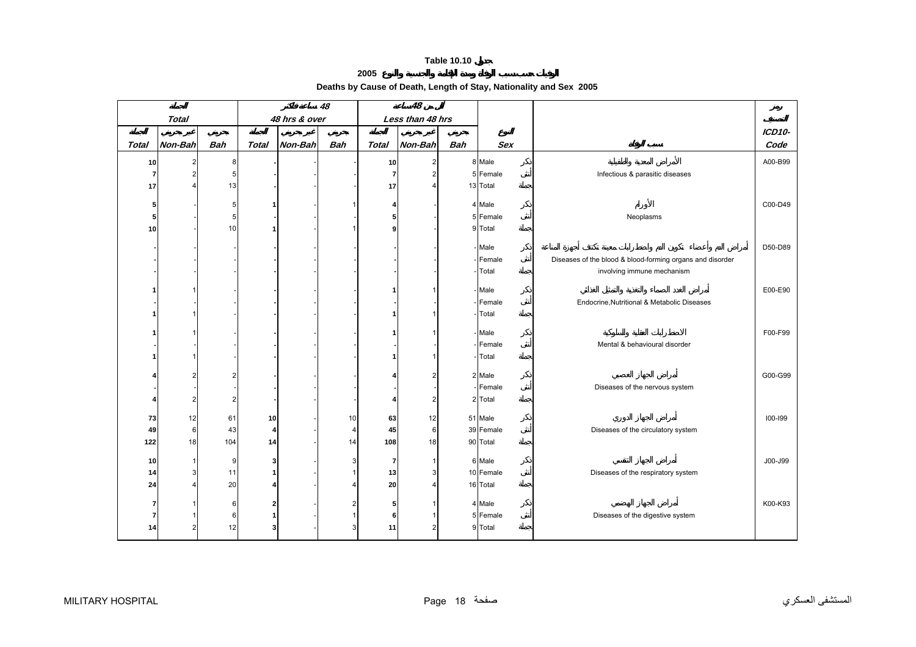<span id="page-16-0"></span>

|              |                |            |                         |               | 48             |                | 48               |            |                    |                                                           |         |
|--------------|----------------|------------|-------------------------|---------------|----------------|----------------|------------------|------------|--------------------|-----------------------------------------------------------|---------|
|              | <b>Total</b>   |            |                         | 48 hrs & over |                |                | Less than 48 hrs |            |                    |                                                           |         |
|              |                |            |                         |               |                |                |                  |            |                    |                                                           | ICD10-  |
| <b>Total</b> | Non-Bah        | <b>Bah</b> | <b>Total</b>            | Non-Bah       | <b>Bah</b>     | <b>Total</b>   | Non-Bah          | <b>Bah</b> | <b>Sex</b>         |                                                           | Code    |
| 10           | $\overline{2}$ | 8          |                         |               |                | 10             | $\overline{a}$   |            | 8 Male             |                                                           | A00-B99 |
| 7            | $\overline{2}$ | 5          |                         |               |                | $\overline{7}$ | $\overline{2}$   |            | 5 Female           | Infectious & parasitic diseases                           |         |
| 17           |                | 13         |                         |               |                | 17             |                  |            | 13 Total           |                                                           |         |
|              |                |            |                         |               |                |                |                  |            |                    |                                                           |         |
| 51           |                | 5<br>5     | 1                       |               |                | 4              |                  |            | 4 Male<br>5 Female |                                                           | C00-D49 |
| 5            |                |            |                         |               |                | 5<br>9         |                  |            |                    | Neoplasms                                                 |         |
| 10           |                | 10         |                         |               |                |                |                  |            | 9 Total            |                                                           |         |
|              |                |            |                         |               |                |                |                  |            | Male               |                                                           | D50-D89 |
|              |                |            |                         |               |                |                |                  |            | Female             | Diseases of the blood & blood-forming organs and disorder |         |
|              |                |            |                         |               |                |                |                  |            | Total              | involving immune mechanism                                |         |
|              |                |            |                         |               |                |                |                  |            | Male               |                                                           | E00-E90 |
|              |                |            |                         |               |                |                |                  |            | Female             | Endocrine, Nutritional & Metabolic Diseases               |         |
|              |                |            |                         |               |                | -1             |                  |            | Total              |                                                           |         |
|              |                |            |                         |               |                |                |                  |            |                    |                                                           |         |
|              |                |            |                         |               |                | 1              |                  |            | Male               |                                                           | F00-F99 |
|              |                |            |                         |               |                |                |                  |            | Female             | Mental & behavioural disorder                             |         |
|              |                |            |                         |               |                | 1              |                  |            | Total              |                                                           |         |
|              |                |            |                         |               |                |                |                  |            | 2 Male             |                                                           | G00-G99 |
|              |                |            |                         |               |                |                |                  |            | Female             | Diseases of the nervous system                            |         |
| Δ            | $\overline{2}$ | 2          |                         |               |                | 4              | 2                |            | 2 Total            |                                                           |         |
|              |                |            |                         |               |                |                |                  |            |                    |                                                           |         |
| 73           | 12             | 61         | 10                      |               | 10             | 63             | 12               |            | 51 Male            |                                                           | 100-199 |
| 49           | 6              | 43         | $\overline{\mathbf{4}}$ |               | 4 <sup>1</sup> | 45             | 6                |            | 39 Female          | Diseases of the circulatory system                        |         |
| 122          | 18             | 104        | 14                      |               | 14             | 108            | 18               |            | 90 Total           |                                                           |         |
| 10           |                | 9          | 3                       |               | 3              | 7              |                  |            | 6 Male             |                                                           | J00-J99 |
| 14           | 3              | 11         | 1                       |               |                | 13             | 3                |            | 10 Female          | Diseases of the respiratory system                        |         |
| 24           |                | 20         | 4                       |               |                | 20             |                  |            | 16 Total           |                                                           |         |
|              |                |            |                         |               |                |                |                  |            |                    |                                                           |         |
| 7            |                | 6          | $\mathbf{2}$            |               |                | 5              |                  |            | 4 Male             |                                                           | K00-K93 |
| 7            |                | 6          | 1                       |               |                | 6              |                  |            | 5 Female           | Diseases of the digestive system                          |         |
| 14           |                | 12         | 3                       |               |                | 11             |                  |            | 9 Total            |                                                           |         |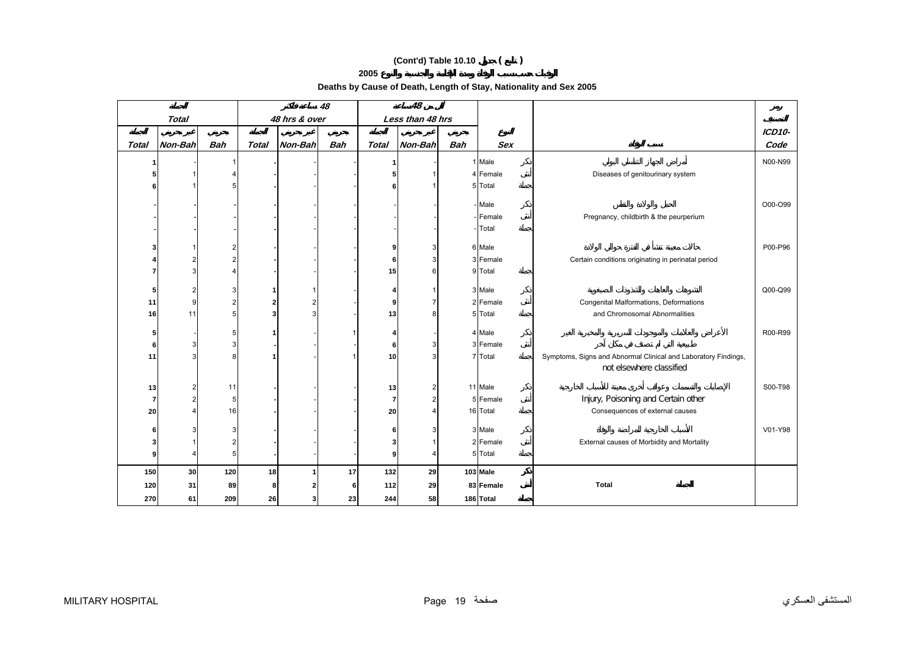# **(Cont'd) Table 10.10 ( )**

**Deaths by Cause of Death, Length of Stay, Nationality and Sex 2005** 

|                |              |            |       |               | 48         |                 | 48               |            |            |                                                                |               |
|----------------|--------------|------------|-------|---------------|------------|-----------------|------------------|------------|------------|----------------------------------------------------------------|---------------|
|                | <b>Total</b> |            |       | 48 hrs & over |            |                 | Less than 48 hrs |            |            |                                                                |               |
|                |              |            |       |               |            |                 |                  |            |            |                                                                | <b>ICD10-</b> |
| Total          | Non-Bah      | <b>Bah</b> | Total | Non-Bah       | <b>Bah</b> | <b>Total</b>    | Non-Bah          | <b>Bah</b> | <b>Sex</b> |                                                                | Code          |
|                |              |            |       |               |            | 1               |                  |            | 1 Male     |                                                                | N00-N99       |
|                |              |            |       |               |            | 5               |                  |            | 4 Female   | Diseases of genitourinary system                               |               |
|                |              |            |       |               |            | 6               |                  |            | 5 Total    |                                                                |               |
|                |              |            |       |               |            |                 |                  |            |            |                                                                |               |
|                |              |            |       |               |            |                 |                  |            | - Male     |                                                                | O00-O99       |
|                |              |            |       |               |            |                 |                  |            | - Female   | Pregnancy, childbirth & the peurperium                         |               |
|                |              |            |       |               |            |                 |                  |            | Total      |                                                                |               |
|                |              |            |       |               |            | 9               | 3                |            | 6 Male     |                                                                | P00-P96       |
|                |              |            |       |               |            | 6               |                  |            | 3 Female   | Certain conditions originating in perinatal period             |               |
|                |              |            |       |               |            | 15              | հ                |            | 9 Total    |                                                                |               |
|                |              |            |       |               |            |                 |                  |            |            |                                                                |               |
| 5              | 2            |            |       |               |            | 4               |                  |            | 3 Male     |                                                                | Q00-Q99       |
| 11             | 9            |            |       |               |            | 9               |                  |            | 2 Female   | Congenital Malformations, Deformations                         |               |
| 16             | 11           |            |       |               |            | 13              |                  |            | 5 Total    | and Chromosomal Abnormalities                                  |               |
| 5              |              |            |       |               |            | 4               |                  |            | 4 Male     |                                                                | R00-R99       |
| 6              |              |            |       |               |            | $6 \mid$        |                  |            | 3 Female   |                                                                |               |
| 11             |              |            |       |               |            | 10 <sup>1</sup> |                  |            | 7 Total    | Symptoms, Signs and Abnormal Clinical and Laboratory Findings, |               |
|                |              |            |       |               |            |                 |                  |            |            | not elsewhere classified                                       |               |
|                |              |            |       |               |            |                 |                  |            |            |                                                                |               |
| 13             | 2            | 11         |       |               |            | 13              | 2                |            | 11 Male    | Injury, Poisoning and Certain other                            | S00-T98       |
| $\overline{7}$ |              | 5          |       |               |            | $\overline{7}$  | 2                |            | 5 Female   |                                                                |               |
| 20             |              | 16         |       |               |            | 20              |                  |            | 16 Total   | Consequences of external causes                                |               |
| 6              |              |            |       |               |            | 6               |                  |            | 3 Male     |                                                                | V01-Y98       |
|                |              |            |       |               |            | 3 <sub>l</sub>  |                  |            | 2 Female   | External causes of Morbidity and Mortality                     |               |
| 9              |              | 5          |       |               |            | 9 <sub>l</sub>  | Δ                |            | 5 Total    |                                                                |               |
| 150            | 30           | 120        | 18    |               | 17         | 132             | 29               |            | 103 Male   |                                                                |               |
| 120            | 31           | 89         | 8     |               | 6          | 112             | 29               |            | 83 Female  | <b>Total</b>                                                   |               |
|                |              |            |       |               |            |                 |                  |            |            |                                                                |               |
| 270            | 61           | 209        | 26    |               | 23         | 244             | 58               |            | 186 Total  |                                                                |               |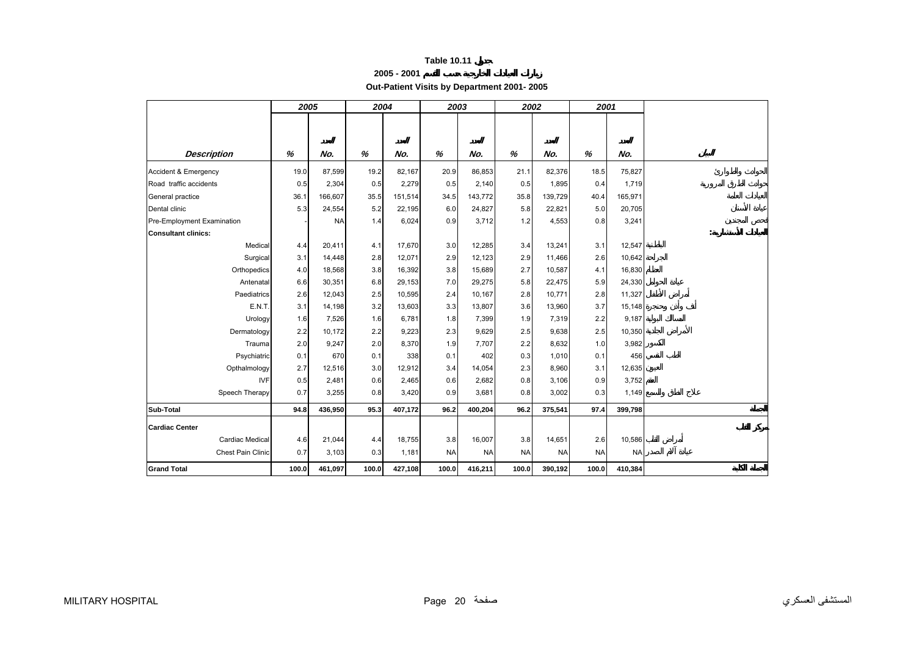|--|

**Out-Patient Visits by Department 2001- 2005** 

<span id="page-18-0"></span>

|                            | 2005  |           | 2004  |         | 2003      |           | 2002      |           | 2001      |           |  |
|----------------------------|-------|-----------|-------|---------|-----------|-----------|-----------|-----------|-----------|-----------|--|
|                            |       |           |       |         |           |           |           |           |           |           |  |
|                            |       |           |       |         |           |           |           |           |           |           |  |
| <b>Description</b>         | %     | No.       | $\%$  | No.     | %         | No.       | %         | No.       | %         | No.       |  |
| Accident & Emergency       | 19.0  | 87,599    | 19.2  | 82,167  | 20.9      | 86,853    | 21.1      | 82,376    | 18.5      | 75,827    |  |
| Road traffic accidents     | 0.5   | 2,304     | 0.5   | 2,279   | 0.5       | 2,140     | 0.5       | 1,895     | 0.4       | 1,719     |  |
| General practice           | 36.1  | 166,607   | 35.5  | 151,514 | 34.5      | 143,772   | 35.8      | 139,729   | 40.4      | 165,971   |  |
| Dental clinic              | 5.3   | 24,554    | 5.2   | 22,195  | 6.0       | 24,827    | 5.8       | 22,821    | 5.0       | 20,705    |  |
| Pre-Employment Examination |       | <b>NA</b> | 1.4   | 6,024   | 0.9       | 3,712     | 1.2       | 4,553     | 0.8       | 3,241     |  |
| <b>Consultant clinics:</b> |       |           |       |         |           |           |           |           |           |           |  |
| Medical                    | 4.4   | 20,411    | 4.1   | 17,670  | 3.0       | 12,285    | 3.4       | 13,241    | 3.1       | 12,547    |  |
| Surgical                   | 3.1   | 14,448    | 2.8   | 12,071  | 2.9       | 12,123    | 2.9       | 11,466    | 2.6       | 10,642    |  |
| Orthopedics                | 4.0   | 18,568    | 3.8   | 16,392  | 3.8       | 15,689    | 2.7       | 10,587    | 4.1       | 16,830    |  |
| Antenatal                  | 6.6   | 30,351    | 6.8   | 29,153  | 7.0       | 29,275    | 5.8       | 22,475    | 5.9       | 24,330    |  |
| Paediatrics                | 2.6   | 12,043    | 2.5   | 10,595  | 2.4       | 10,167    | 2.8       | 10,771    | 2.8       | 11,327    |  |
| E.N.T.                     | 3.1   | 14,198    | 3.2   | 13,603  | 3.3       | 13,807    | 3.6       | 13,960    | 3.7       | 15,148    |  |
| Urology                    | 1.6   | 7,526     | 1.6   | 6,781   | 1.8       | 7,399     | 1.9       | 7,319     | 2.2       | 9,187     |  |
| Dermatology                | 2.2   | 10,172    | 2.2   | 9,223   | 2.3       | 9,629     | 2.5       | 9,638     | 2.5       | 10,350    |  |
| Trauma                     | 2.0   | 9,247     | 2.0   | 8,370   | 1.9       | 7,707     | 2.2       | 8,632     | 1.0       | 3,982     |  |
| Psychiatric                | 0.1   | 670       | 0.1   | 338     | 0.1       | 402       | 0.3       | 1,010     | 0.1       | 456       |  |
| Opthalmology               | 2.7   | 12,516    | 3.0   | 12,912  | 3.4       | 14,054    | 2.3       | 8,960     | 3.1       | 12,635    |  |
| <b>IVF</b>                 | 0.5   | 2,481     | 0.6   | 2,465   | 0.6       | 2,682     | 0.8       | 3,106     | 0.9       | 3,752     |  |
| Speech Therapy             | 0.7   | 3,255     | 0.8   | 3,420   | 0.9       | 3,681     | 0.8       | 3,002     | 0.3       | 1,149     |  |
| Sub-Total                  | 94.8  | 436,950   | 95.3  | 407,172 | 96.2      | 400,204   | 96.2      | 375,541   | 97.4      | 399,798   |  |
| <b>Cardiac Center</b>      |       |           |       |         |           |           |           |           |           |           |  |
| Cardiac Medical            | 4.6   | 21,044    | 4.4   | 18,755  | 3.8       | 16,007    | 3.8       | 14,651    | 2.6       | 10,586    |  |
| Chest Pain Clinic          | 0.7   | 3,103     | 0.3   | 1,181   | <b>NA</b> | <b>NA</b> | <b>NA</b> | <b>NA</b> | <b>NA</b> | <b>NA</b> |  |
| <b>Grand Total</b>         | 100.0 | 461,097   | 100.0 | 427,108 | 100.0     | 416,211   | 100.0     | 390,192   | 100.0     | 410,384   |  |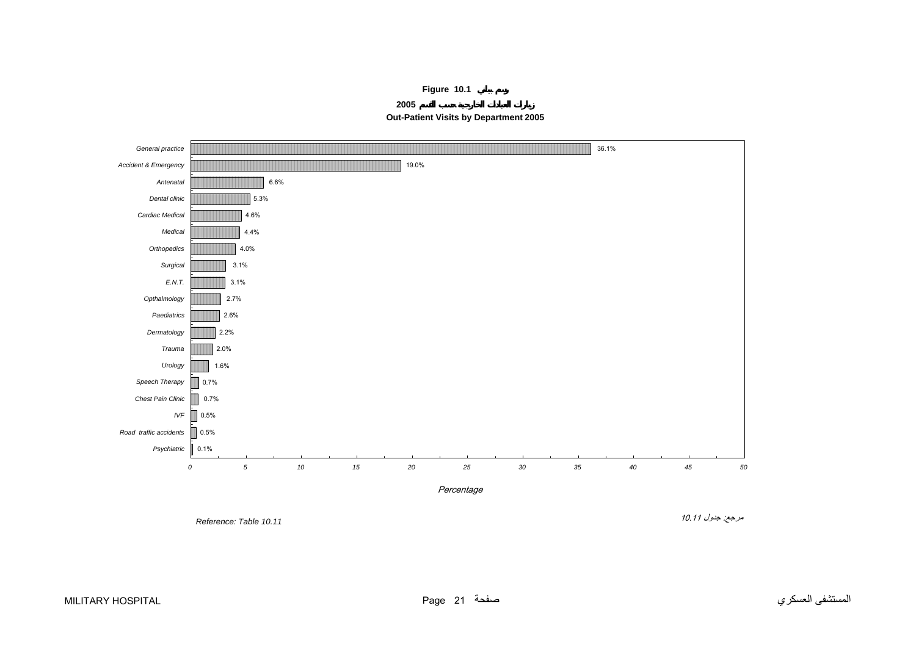**Figure 10.1**

**2005**



<span id="page-19-0"></span>

Reference: Table 10.11

مرجع: جدول 10.11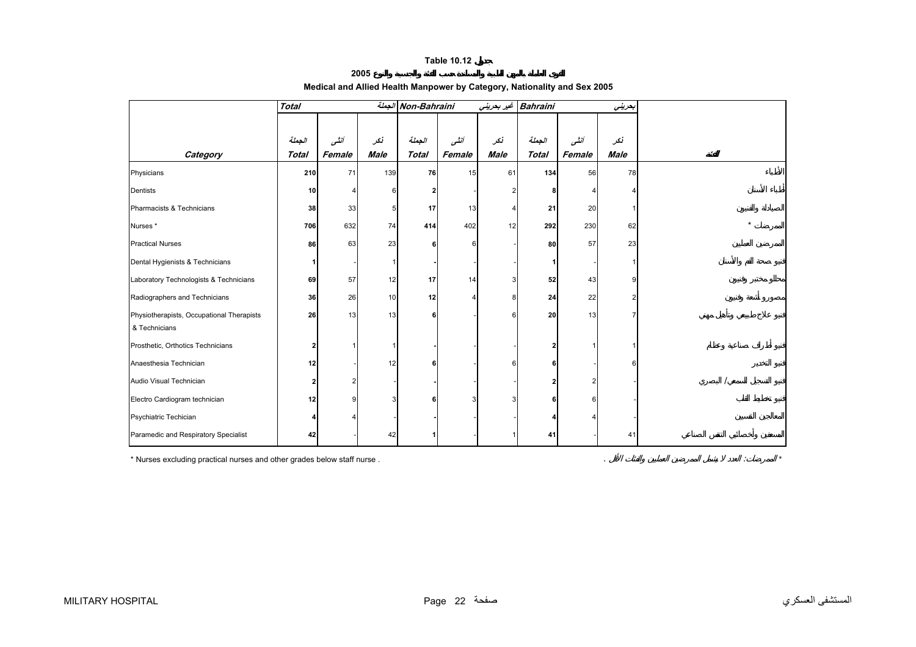#### **2005**

#### **Medical and Allied Health Manpower by Category, Nationality and Sex 2005**

<span id="page-20-0"></span>

|                                                            | <b>Total</b> |        |             | Non-Bahraini الجملة |        |             | Bahraini غير بحريني |        | بحريني |  |
|------------------------------------------------------------|--------------|--------|-------------|---------------------|--------|-------------|---------------------|--------|--------|--|
|                                                            |              |        |             |                     |        |             |                     |        |        |  |
|                                                            | الجعلة       | أننسى  | نكر         | الجعلة              | أنشى   | نكر         | الجملة              | أنشى   | نكر    |  |
| Category                                                   | <b>Total</b> | Female | <b>Male</b> | <b>Total</b>        | Female | <b>Male</b> | <b>Total</b>        | Female | Male   |  |
| Physicians                                                 | 210          | 71     | 139         | 76                  | 15     | 61          | 134                 | 56     | 78     |  |
| Dentists                                                   | 10           |        | 6           | 2                   |        |             |                     |        |        |  |
| Pharmacists & Technicians                                  | 38           | 33     |             | 17                  | 13     |             | 21                  | 20     |        |  |
| Nurses*                                                    | 706          | 632    | 74          | 414                 | 402    | 12          | 292                 | 230    | 62     |  |
| <b>Practical Nurses</b>                                    | 86           | 63     | 23          |                     | 6      |             | 80                  | 57     | 23     |  |
| Dental Hygienists & Technicians                            |              |        |             |                     |        |             |                     |        |        |  |
| Laboratory Technologists & Technicians                     | 69           | 57     | 12          | 17                  | 14     |             | 52                  | 43     |        |  |
| Radiographers and Technicians                              | 36           | 26     | 10          | 12                  |        |             | 24                  | 22     |        |  |
| Physiotherapists, Occupational Therapists<br>& Technicians | 26           | 13     | 13          | 6                   |        |             | 20                  | 13     |        |  |
| Prosthetic, Orthotics Technicians                          |              |        |             |                     |        |             |                     |        |        |  |
| Anaesthesia Technician                                     | 12           |        | 12          |                     |        |             |                     |        |        |  |
| Audio Visual Technician                                    |              | 2      |             |                     |        |             |                     |        |        |  |
| Electro Cardiogram technician                              | 12           | g      |             |                     |        |             |                     |        |        |  |
| Psychiatric Techician                                      |              |        |             |                     |        |             |                     |        |        |  |
| Paramedic and Respiratory Specialist                       | 42           |        | 42          |                     |        |             | 41                  |        | 41     |  |

\* Nurses excluding practical nurses and other grades below staff nurse . . : *\**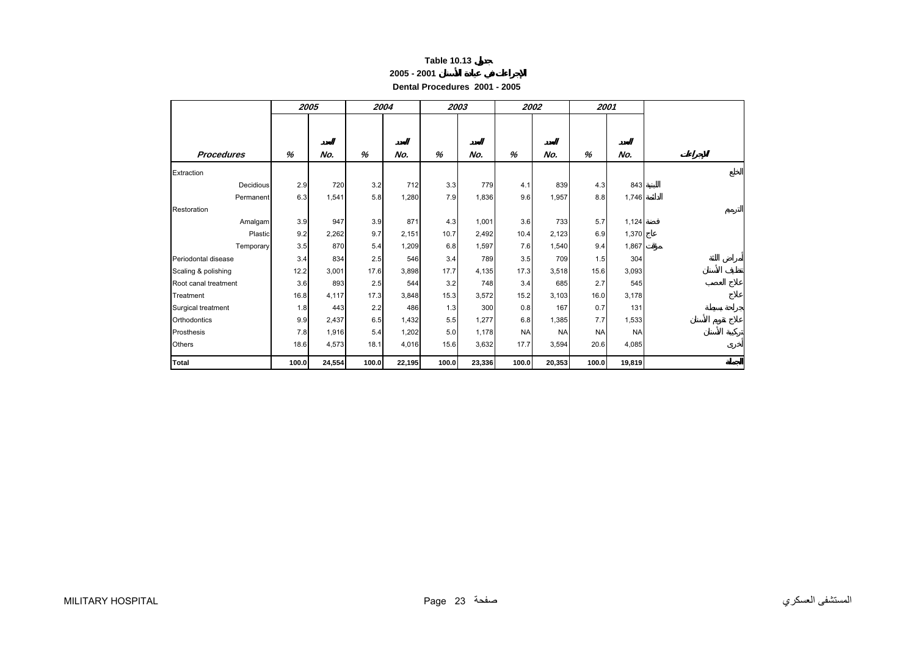| <b>Table 10.13</b> |  |  |
|--------------------|--|--|
|--------------------|--|--|

**Dental Procedures 2001 - 2005** 

<span id="page-21-0"></span>

|                      |       | 2005   | 2004  |        |       | 2003   |           | 2002      |           | 2001      |  |
|----------------------|-------|--------|-------|--------|-------|--------|-----------|-----------|-----------|-----------|--|
| <b>Procedures</b>    | %     | No.    | %     | No.    | %     | No.    | %         | No.       | %         | No.       |  |
| Extraction           |       |        |       |        |       |        |           |           |           |           |  |
| Decidious            | 2.9   | 720    | 3.2   | 712    | 3.3   | 779    | 4.1       | 839       | 4.3       | 843       |  |
| Permanent            | 6.3   | 1,541  | 5.8   | 1,280  | 7.9   | 1,836  | 9.6       | 1,957     | 8.8       | 1,746     |  |
| Restoration          |       |        |       |        |       |        |           |           |           |           |  |
| Amalgam              | 3.9   | 947    | 3.9   | 871    | 4.3   | 1,001  | 3.6       | 733       | 5.7       | 1,124     |  |
| Plastic              | 9.2   | 2,262  | 9.7   | 2,151  | 10.7  | 2,492  | 10.4      | 2,123     | 6.9       | 1,370     |  |
| Temporary            | 3.5   | 870    | 5.4   | 1,209  | 6.8   | 1,597  | 7.6       | 1,540     | 9.4       | 1,867     |  |
| Periodontal disease  | 3.4   | 834    | 2.5   | 546    | 3.4   | 789    | 3.5       | 709       | 1.5       | 304       |  |
| Scaling & polishing  | 12.2  | 3,001  | 17.6  | 3,898  | 17.7  | 4,135  | 17.3      | 3,518     | 15.6      | 3,093     |  |
| Root canal treatment | 3.6   | 893    | 2.5   | 544    | 3.2   | 748    | 3.4       | 685       | 2.7       | 545       |  |
| Treatment            | 16.8  | 4,117  | 17.3  | 3,848  | 15.3  | 3,572  | 15.2      | 3,103     | 16.0      | 3,178     |  |
| Surgical treatment   | 1.8   | 443    | 2.2   | 486    | 1.3   | 300    | 0.8       | 167       | 0.7       | 131       |  |
| Orthodontics         | 9.9   | 2,437  | 6.5   | 1,432  | 5.5   | 1,277  | 6.8       | 1,385     | 7.7       | 1,533     |  |
| Prosthesis           | 7.8   | 1,916  | 5.4   | 1,202  | 5.0   | 1,178  | <b>NA</b> | <b>NA</b> | <b>NA</b> | <b>NA</b> |  |
| <b>Others</b>        | 18.6  | 4,573  | 18.1  | 4,016  | 15.6  | 3,632  | 17.7      | 3,594     | 20.6      | 4,085     |  |
| <b>Total</b>         | 100.0 | 24,554 | 100.0 | 22,195 | 100.0 | 23,336 | 100.0     | 20,353    | 100.0     | 19,819    |  |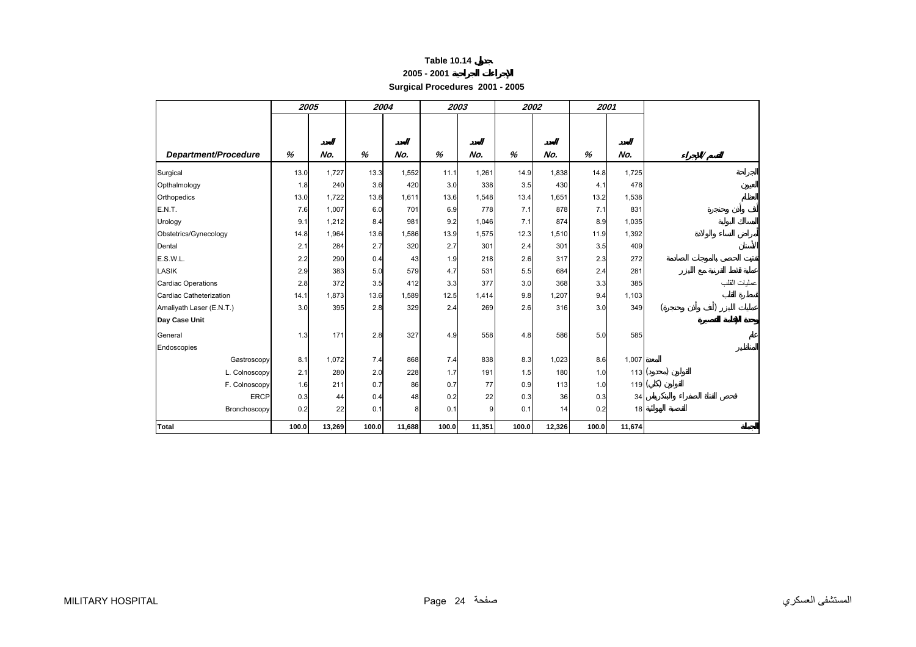#### **2005 - 2001**

**Surgical Procedures 2001 - 2005** 

<span id="page-22-0"></span>

|                           | 2005  |        | 2004  |        |       | 2003   | 2002  |        | 2001  |                    |              |
|---------------------------|-------|--------|-------|--------|-------|--------|-------|--------|-------|--------------------|--------------|
|                           |       |        |       |        |       |        |       |        |       |                    |              |
|                           |       |        |       |        |       |        |       |        |       |                    |              |
| Department/Procedure      | %     | No.    | %     | No.    | %     | No.    | %     | No.    | %     | No.                |              |
| Surgical                  | 13.0  | 1,727  | 13.3  | 1,552  | 11.1  | 1,261  | 14.9  | 1,838  | 14.8  | 1,725              |              |
| Opthalmology              | 1.8   | 240    | 3.6   | 420    | 3.0   | 338    | 3.5   | 430    | 4.1   | 478                |              |
| Orthopedics               | 13.0  | 1,722  | 13.8  | 1,611  | 13.6  | 1,548  | 13.4  | 1,651  | 13.2  | 1,538              |              |
| <b>E.N.T.</b>             | 7.6   | 1,007  | 6.0   | 701    | 6.9   | 778    | 7.1   | 878    | 7.1   | 831                |              |
| Urology                   | 9.1   | 1,212  | 8.4   | 981    | 9.2   | 1,046  | 7.1   | 874    | 8.9   | 1,035              |              |
| Obstetrics/Gynecology     | 14.8  | 1,964  | 13.6  | 1,586  | 13.9  | 1,575  | 12.3  | 1,510  | 11.9  | 1,392              |              |
| Dental                    | 2.1   | 284    | 2.7   | 320    | 2.7   | 301    | 2.4   | 301    | 3.5   | 409                |              |
| E.S.W.L.                  | 2.2   | 290    | 0.4   | 43     | 1.9   | 218    | 2.6   | 317    | 2.3   | 272                |              |
| <b>LASIK</b>              | 2.9   | 383    | 5.0   | 579    | 4.7   | 531    | 5.5   | 684    | 2.4   | 281                |              |
| <b>Cardiac Operations</b> | 2.8   | 372    | 3.5   | 412    | 3.3   | 377    | 3.0   | 368    | 3.3   | 385                | عمليات القلب |
| Cardiac Catheterization   | 14.1  | 1,873  | 13.6  | 1,589  | 12.5  | 1,414  | 9.8   | 1,207  | 9.4   | 1,103              |              |
| Amaliyath Laser (E.N.T.)  | 3.0   | 395    | 2.8   | 329    | 2.4   | 269    | 2.6   | 316    | 3.0   | 349                |              |
| Day Case Unit             |       |        |       |        |       |        |       |        |       |                    |              |
| General                   | 1.3   | 171    | 2.8   | 327    | 4.9   | 558    | 4.8   | 586    | 5.0   | 585                |              |
| Endoscopies               |       |        |       |        |       |        |       |        |       |                    |              |
| Gastroscopy               | 8.1   | 1,072  | 7.4   | 868    | 7.4   | 838    | 8.3   | 1,023  | 8.6   | 1,007              |              |
| L. Colnoscopy             | 2.1   | 280    | 2.0   | 228    | 1.7   | 191    | 1.5   | 180    | 1.0   | 113(               |              |
| F. Colnoscopy             | 1.6   | 211    | 0.7   | 86     | 0.7   | 77     | 0.9   | 113    | 1.0   | $119$ <sup>(</sup> |              |
| <b>ERCP</b>               | 0.3   | 44     | 0.4   | 48     | 0.2   | 22     | 0.3   | 36     | 0.3   | 34                 |              |
| Bronchoscopy              | 0.2   | 22     | 0.1   | 8      | 0.1   | 9      | 0.1   | 14     | 0.2   | 18                 |              |
| Total                     | 100.0 | 13,269 | 100.0 | 11,688 | 100.0 | 11,351 | 100.0 | 12,326 | 100.0 | 11,674             |              |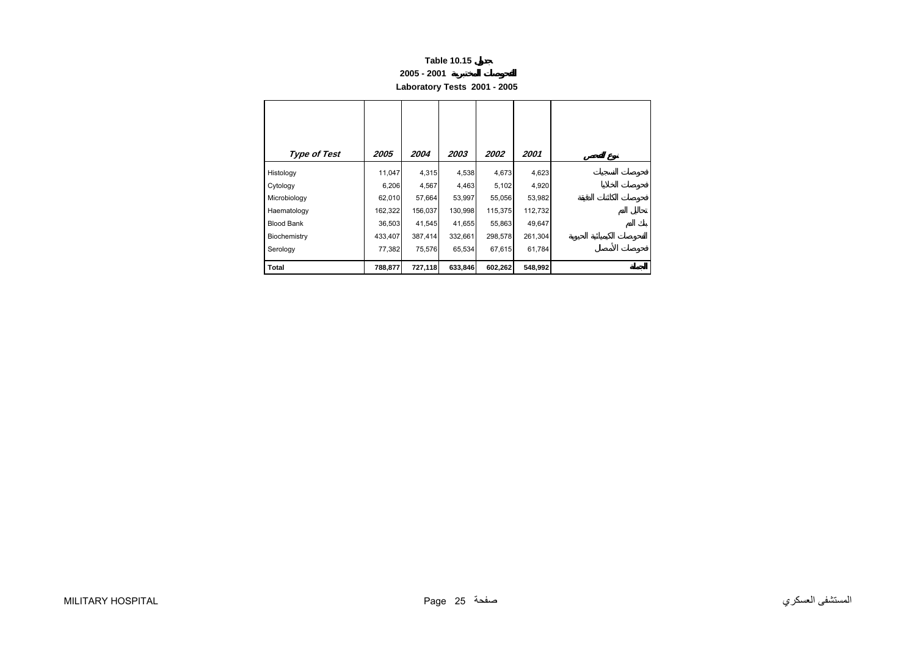#### **2005 - 2001**

**Laboratory Tests 2001 - 2005** 

<span id="page-23-0"></span>

| <b>Type of Test</b> | 2005    | 2004    | 2003    | 2002    | 2001    |
|---------------------|---------|---------|---------|---------|---------|
| Histology           | 11,047  | 4,315   | 4,538   | 4,673   | 4,623   |
| Cytology            | 6,206   | 4,567   | 4,463   | 5,102   | 4,920   |
| Microbiology        | 62,010  | 57,664  | 53,997  | 55,056  | 53,982  |
| Haematology         | 162,322 | 156,037 | 130,998 | 115,375 | 112,732 |
| <b>Blood Bank</b>   | 36,503  | 41,545  | 41,655  | 55,863  | 49,647  |
| Biochemistry        | 433,407 | 387,414 | 332,661 | 298,578 | 261,304 |
| Serology            | 77,382  | 75,576  | 65,534  | 67,615  | 61,784  |
| Total               | 788,877 | 727,118 | 633,846 | 602,262 | 548,992 |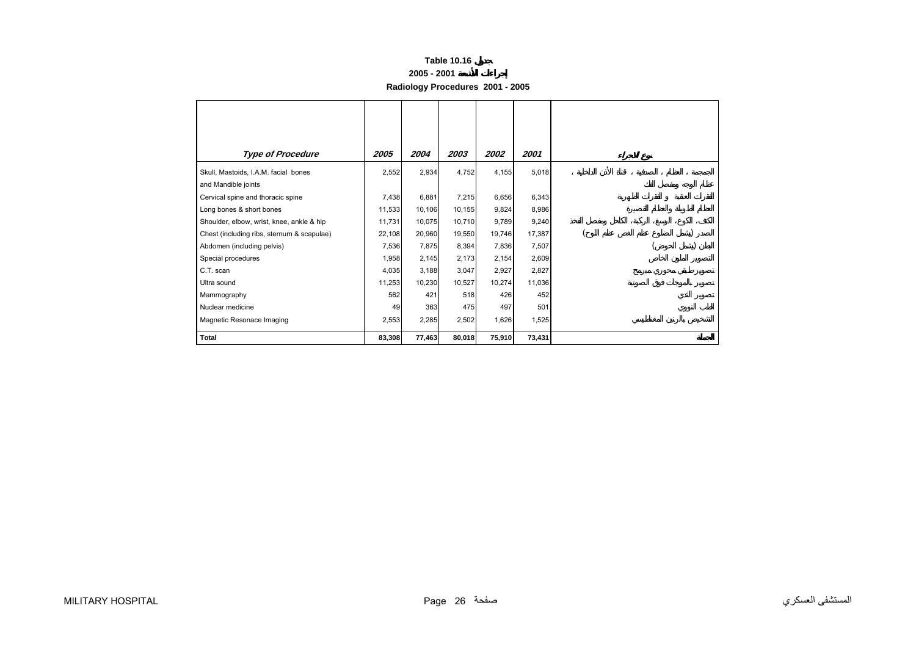#### **2005 - 2001**

**Radiology Procedures 2001 - 2005** 

<span id="page-24-0"></span>

| <b>Type of Procedure</b>                   | 2005   | 2004   | 2003   | 2002   | 2001   |  |  |
|--------------------------------------------|--------|--------|--------|--------|--------|--|--|
| Skull, Mastoids, I.A.M. facial bones       | 2,552  | 2,934  | 4,752  | 4,155  | 5,018  |  |  |
| and Mandible joints                        |        |        |        |        |        |  |  |
| Cervical spine and thoracic spine          | 7,438  | 6,881  | 7,215  | 6,656  | 6,343  |  |  |
| Long bones & short bones                   | 11,533 | 10,106 | 10,155 | 9,824  | 8,986  |  |  |
| Shoulder, elbow, wrist, knee, ankle & hip  | 11,731 | 10,075 | 10,710 | 9,789  | 9,240  |  |  |
| Chest (including ribs, sternum & scapulae) | 22,108 | 20,960 | 19,550 | 19,746 | 17,387 |  |  |
| Abdomen (including pelvis)                 | 7,536  | 7,875  | 8,394  | 7,836  | 7,507  |  |  |
| Special procedures                         | 1,958  | 2,145  | 2,173  | 2,154  | 2,609  |  |  |
| C.T. scan                                  | 4,035  | 3,188  | 3,047  | 2,927  | 2,827  |  |  |
| Ultra sound                                | 11,253 | 10,230 | 10,527 | 10,274 | 11,036 |  |  |
| Mammography                                | 562    | 421    | 518    | 426    | 452    |  |  |
| Nuclear medicine                           | 49     | 363    | 475    | 497    | 501    |  |  |
| Magnetic Resonace Imaging                  | 2,553  | 2,285  | 2,502  | 1,626  | 1,525  |  |  |
| Total                                      | 83,308 | 77,463 | 80,018 | 75,910 | 73,431 |  |  |